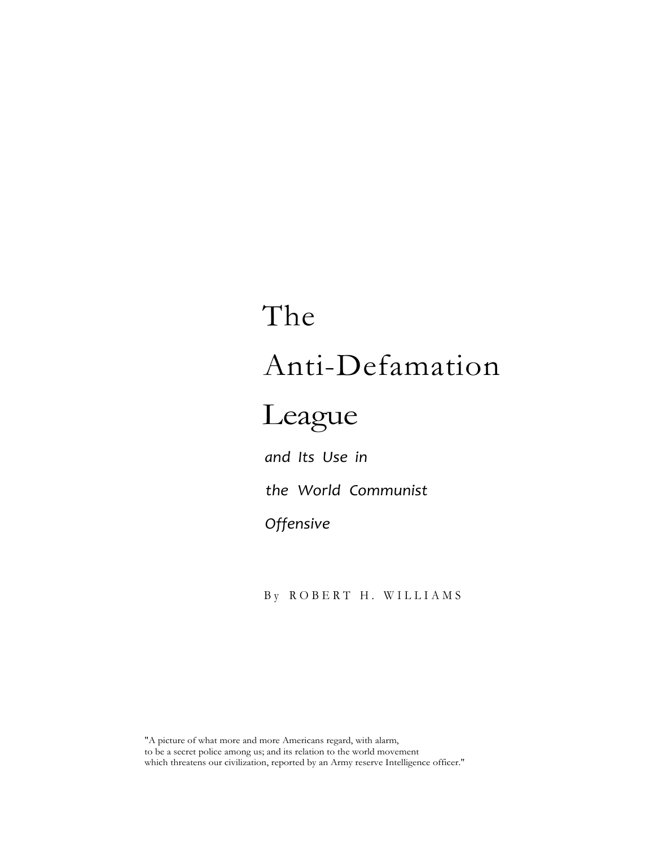# The Anti-Defamation

# League

*and Its Use in* 

*the World Communist* 

*Offensive* 

B Y ROBERT H. WILLIAMS

"A picture of what more and more Americans regard, with alarm, to be a secret police among us; and its relation to the world movement which threatens our civilization, reported by an Army reserve Intelligence officer."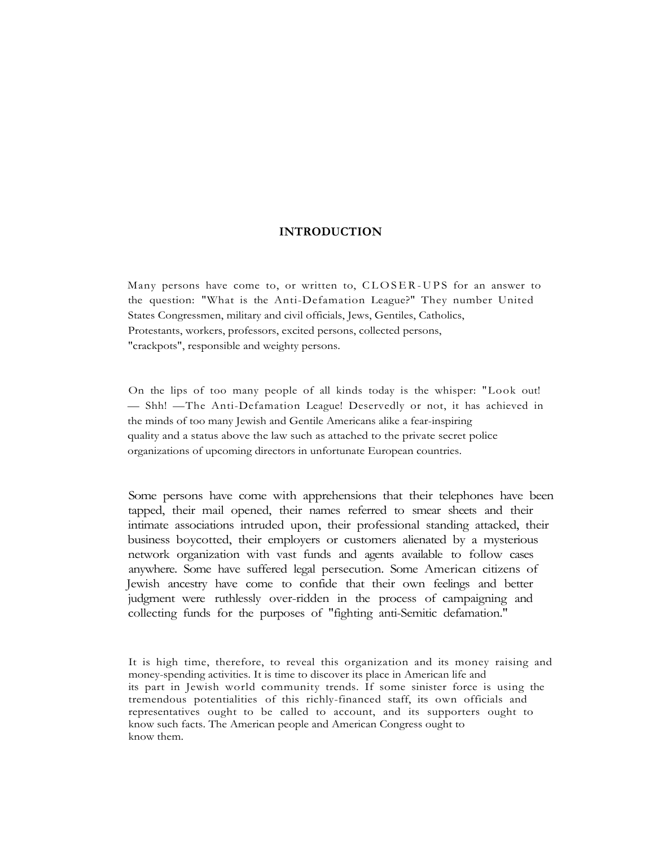#### **INTRODUCTION**

Many persons have come to, or written to, CLOSER-UPS for an answer to the question: "What is the Anti-Defamation League?" They number United States Congressmen, military and civil officials, Jews, Gentiles, Catholics, Protestants, workers, professors, excited persons, collected persons, "crackpots", responsible and weighty persons.

On the lips of too many people of all kinds today is the whisper: "Look out! — Shh! —The Anti-Defamation League! Deservedly or not, it has achieved in the minds of too many Jewish and Gentile Americans alike a fear-inspiring quality and a status above the law such as attached to the private secret police organizations of upcoming directors in unfortunate European countries.

Some persons have come with apprehensions that their telephones have been tapped, their mail opened, their names referred to smear sheets and their intimate associations intruded upon, their professional standing attacked, their business boycotted, their employers or customers alienated by a mysterious network organization with vast funds and agents available to follow cases anywhere. Some have suffered legal persecution. Some American citizens of Jewish ancestry have come to confide that their own feelings and better judgment were ruthlessly over-ridden in the process of campaigning and collecting funds for the purposes of "fighting anti-Semitic defamation."

It is high time, therefore, to reveal this organization and its money raising and money-spending activities. It is time to discover its place in American life and its part in Jewish world community trends. If some sinister force is using the tremendous potentialities of this richly-financed staff, its own officials and representatives ought to be called to account, and its supporters ought to know such facts. The American people and American Congress ought to know them.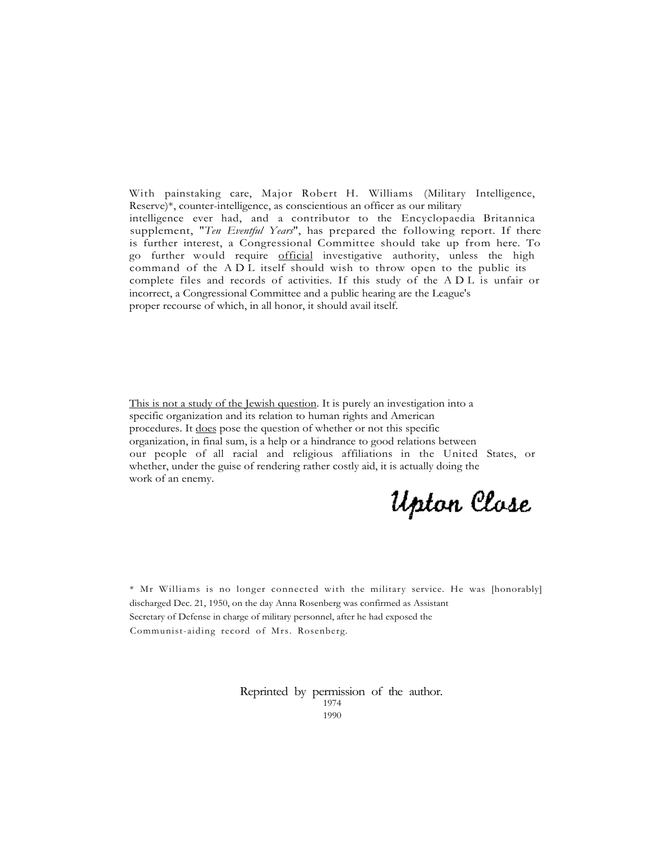With painstaking care, Major Robert H. Williams (Military Intelligence, Reserve)\*, counter-intelligence, as conscientious an officer as our military intelligence ever had, and a contributor to the Encyclopaedia Britannica supplement, "*Ten Eventful Years*", has prepared the following report. If there is further interest, a Congressional Committee should take up from here. To go further would require official investigative authority, unless the high command of the AD L itself should wish to throw open to the public its complete files and records of activities. If this study of the AD L is unfair or incorrect, a Congressional Committee and a public hearing are the League's proper recourse of which, in all honor, it should avail itself.

This is not a study of the Jewish question. It is purely an investigation into a specific organization and its relation to human rights and American procedures. It does pose the question of whether or not this specific organization, in final sum, is a help or a hindrance to good relations between our people of all racial and religious affiliations in the United States, or whether, under the guise of rendering rather costly aid, it is actually doing the work of an enemy.

Upton Close

\* Mr Williams is no longer connected with the military service. He was [honorably] discharged Dec. 21, 1950, on the day Anna Rosenberg was confirmed as Assistant Secretary of Defense in charge of military personnel, after he had exposed the Communist-aiding record of Mrs. Rosenberg.

> Reprinted by permission of the author. 1974 1990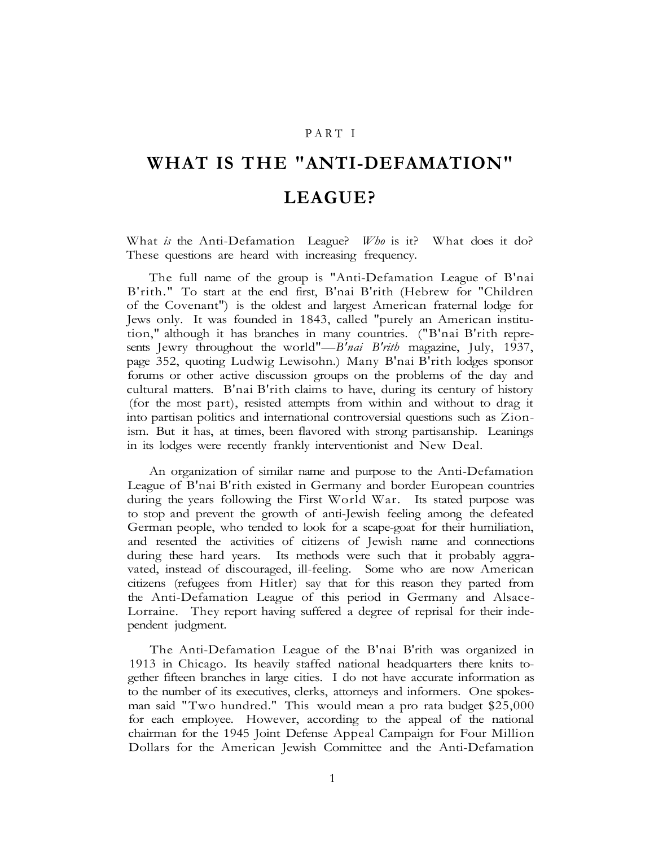#### PAR T I

## **WHAT IS THE "ANTI-DEFAMATION" LEAGUE?**

What *is* the Anti-Defamation League? *Who* is it? What does it do? These questions are heard with increasing frequency.

The full name of the group is "Anti-Defamation League of B'nai B'rith." To start at the end first, B'nai B'rith (Hebrew for "Children of the Covenant") is the oldest and largest American fraternal lodge for Jews only. It was founded in 1843, called "purely an American institution," although it has branches in many countries. ("B'nai B'rith represents Jewry throughout the world"—*B'nai B'rith* magazine, July, 1937, page 352, quoting Ludwig Lewisohn.) Many B'nai B'rith lodges sponsor forums or other active discussion groups on the problems of the day and cultural matters. B'nai B'rith claims to have, during its century of history (for the most part), resisted attempts from within and without to drag it into partisan politics and international controversial questions such as Zionism. But it has, at times, been flavored with strong partisanship. Leanings in its lodges were recently frankly interventionist and New Deal.

An organization of similar name and purpose to the Anti-Defamation League of B'nai B'rith existed in Germany and border European countries during the years following the First World War. Its stated purpose was to stop and prevent the growth of anti-Jewish feeling among the defeated German people, who tended to look for a scape-goat for their humiliation, and resented the activities of citizens of Jewish name and connections during these hard years. Its methods were such that it probably aggravated, instead of discouraged, ill-feeling. Some who are now American citizens (refugees from Hitler) say that for this reason they parted from the Anti-Defamation League of this period in Germany and Alsace-Lorraine. They report having suffered a degree of reprisal for their independent judgment.

The Anti-Defamation League of the B'nai B'rith was organized in 1913 in Chicago. Its heavily staffed national headquarters there knits together fifteen branches in large cities. I do not have accurate information as to the number of its executives, clerks, attorneys and informers. One spokesman said "Two hundred." This would mean a pro rata budget \$25,000 for each employee. However, according to the appeal of the national chairman for the 1945 Joint Defense Appeal Campaign for Four Million Dollars for the American Jewish Committee and the Anti-Defamation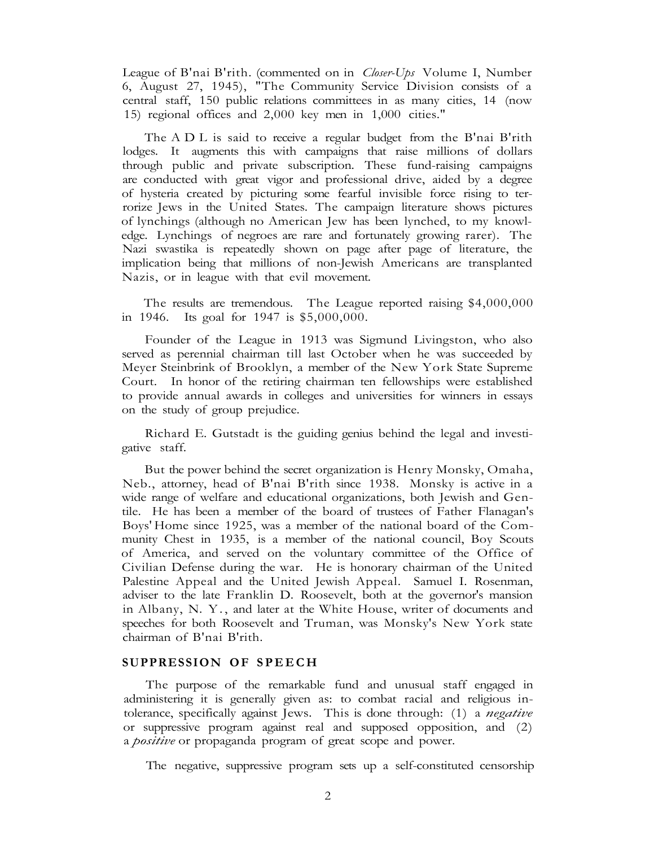League of B'nai B'rith. (commented on in *Closer-Ups* Volume I, Number 6, August 27, 1945), "The Community Service Division consists of a central staff, 150 public relations committees in as many cities, 14 (now 15) regional offices and 2,000 key men in 1,000 cities."

The AD L is said to receive a regular budget from the B'nai B'rith lodges. It augments this with campaigns that raise millions of dollars through public and private subscription. These fund-raising campaigns are conducted with great vigor and professional drive, aided by a degree of hysteria created by picturing some fearful invisible force rising to terrorize Jews in the United States. The campaign literature shows pictures of lynchings (although no American Jew has been lynched, to my knowledge. Lynchings of negroes are rare and fortunately growing rarer). The Nazi swastika is repeatedly shown on page after page of literature, the implication being that millions of non-Jewish Americans are transplanted Nazis, or in league with that evil movement.

The results are tremendous. The League reported raising \$4,000,000 in 1946. Its goal for 1947 is \$5,000,000.

Founder of the League in 1913 was Sigmund Livingston, who also served as perennial chairman till last October when he was succeeded by Meyer Steinbrink of Brooklyn, a member of the New York State Supreme Court. In honor of the retiring chairman ten fellowships were established to provide annual awards in colleges and universities for winners in essays on the study of group prejudice.

Richard E. Gutstadt is the guiding genius behind the legal and investigative staff.

But the power behind the secret organization is Henry Monsky, Omaha, Neb., attorney, head of B'nai B'rith since 1938. Monsky is active in a wide range of welfare and educational organizations, both Jewish and Gentile. He has been a member of the board of trustees of Father Flanagan's Boys' Home since 1925, was a member of the national board of the Community Chest in 1935, is a member of the national council, Boy Scouts of America, and served on the voluntary committee of the Office of Civilian Defense during the war. He is honorary chairman of the United Palestine Appeal and the United Jewish Appeal. Samuel I. Rosenman, adviser to the late Franklin D. Roosevelt, both at the governor's mansion in Albany, N. Y. , and later at the White House, writer of documents and speeches for both Roosevelt and Truman, was Monsky's New York state chairman of B'nai B'rith.

#### **SUPPRESSION OF SPEEC H**

The purpose of the remarkable fund and unusual staff engaged in administering it is generally given as: to combat racial and religious intolerance, specifically against Jews. This is done through: (1) a *negative*  or suppressive program against real and supposed opposition, and (2) a *positive* or propaganda program of great scope and power.

The negative, suppressive program sets up a self-constituted censorship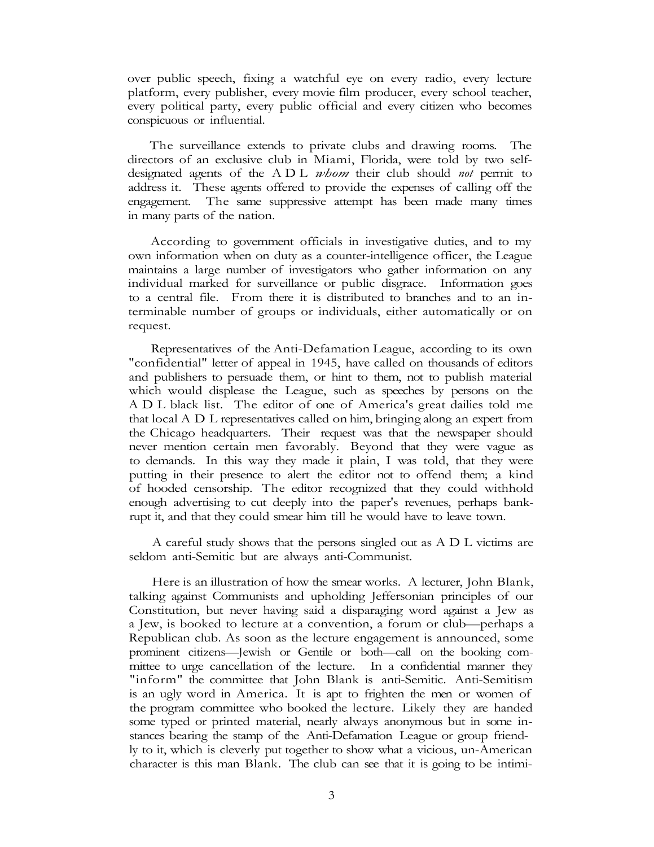over public speech, fixing a watchful eye on every radio, every lecture platform, every publisher, every movie film producer, every school teacher, every political party, every public official and every citizen who becomes conspicuous or influential.

The surveillance extends to private clubs and drawing rooms. The directors of an exclusive club in Miami, Florida, were told by two selfdesignated agents of the AD L *whom* their club should *not* permit to address it. These agents offered to provide the expenses of calling off the engagement. The same suppressive attempt has been made many times in many parts of the nation.

According to government officials in investigative duties, and to my own information when on duty as a counter-intelligence officer, the League maintains a large number of investigators who gather information on any individual marked for surveillance or public disgrace. Information goes to a central file. From there it is distributed to branches and to an interminable number of groups or individuals, either automatically or on request.

Representatives of the Anti-Defamation League, according to its own "confidential" letter of appeal in 1945, have called on thousands of editors and publishers to persuade them, or hint to them, not to publish material which would displease the League, such as speeches by persons on the A D L black list. The editor of one of America's great dailies told me that local AD L representatives called on him, bringing along an expert from the Chicago headquarters. Their request was that the newspaper should never mention certain men favorably. Beyond that they were vague as to demands. In this way they made it plain, I was told, that they were putting in their presence to alert the editor not to offend them; a kind of hooded censorship. The editor recognized that they could withhold enough advertising to cut deeply into the paper's revenues, perhaps bankrupt it, and that they could smear him till he would have to leave town.

A careful study shows that the persons singled out as AD L victims are seldom anti-Semitic but are always anti-Communist.

Here is an illustration of how the smear works. A lecturer, John Blank, talking against Communists and upholding Jeffersonian principles of our Constitution, but never having said a disparaging word against a Jew as a Jew, is booked to lecture at a convention, a forum or club—perhaps a Republican club. As soon as the lecture engagement is announced, some prominent citizens—Jewish or Gentile or both—call on the booking committee to urge cancellation of the lecture. In a confidential manner they "inform" the committee that John Blank is anti-Semitic. Anti-Semitism is an ugly word in America. It is apt to frighten the men or women of the program committee who booked the lecture. Likely they are handed some typed or printed material, nearly always anonymous but in some instances bearing the stamp of the Anti-Defamation League or group friendly to it, which is cleverly put together to show what a vicious, un-American character is this man Blank. The club can see that it is going to be intimi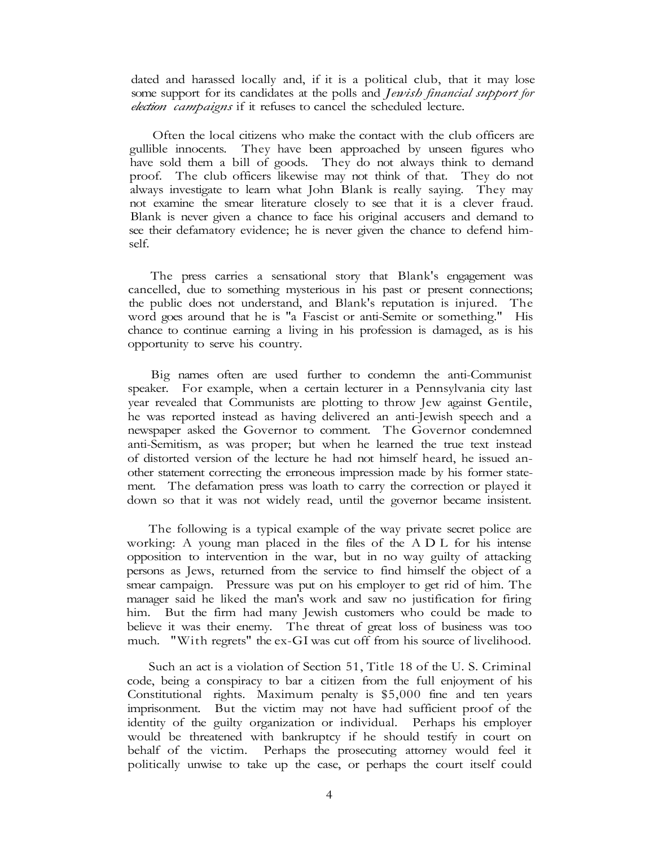dated and harassed locally and, if it is a political club, that it may lose some support for its candidates at the polls and *Jewish financial support for election campaigns* if it refuses to cancel the scheduled lecture.

Often the local citizens who make the contact with the club officers are gullible innocents. They have been approached by unseen figures who have sold them a bill of goods. They do not always think to demand proof. The club officers likewise may not think of that. They do not always investigate to learn what John Blank is really saying. They may not examine the smear literature closely to see that it is a clever fraud. Blank is never given a chance to face his original accusers and demand to see their defamatory evidence; he is never given the chance to defend himself.

The press carries a sensational story that Blank's engagement was cancelled, due to something mysterious in his past or present connections; the public does not understand, and Blank's reputation is injured. The word goes around that he is "a Fascist or anti-Semite or something." His chance to continue earning a living in his profession is damaged, as is his opportunity to serve his country.

Big names often are used further to condemn the anti-Communist speaker. For example, when a certain lecturer in a Pennsylvania city last year revealed that Communists are plotting to throw Jew against Gentile, he was reported instead as having delivered an anti-Jewish speech and a newspaper asked the Governor to comment. The Governor condemned anti-Semitism, as was proper; but when he learned the true text instead of distorted version of the lecture he had not himself heard, he issued another statement correcting the erroneous impression made by his former statement. The defamation press was loath to carry the correction or played it down so that it was not widely read, until the governor became insistent.

The following is a typical example of the way private secret police are working: A young man placed in the files of the AD L for his intense opposition to intervention in the war, but in no way guilty of attacking persons as Jews, returned from the service to find himself the object of a smear campaign. Pressure was put on his employer to get rid of him. The manager said he liked the man's work and saw no justification for firing him. But the firm had many Jewish customers who could be made to believe it was their enemy. The threat of great loss of business was too much. "With regrets" the ex-GI was cut off from his source of livelihood.

Such an act is a violation of Section 51, Title 18 of the U. S. Criminal code, being a conspiracy to bar a citizen from the full enjoyment of his Constitutional rights. Maximum penalty is \$5,000 fine and ten years imprisonment. But the victim may not have had sufficient proof of the identity of the guilty organization or individual. Perhaps his employer would be threatened with bankruptcy if he should testify in court on behalf of the victim. Perhaps the prosecuting attorney would feel it politically unwise to take up the case, or perhaps the court itself could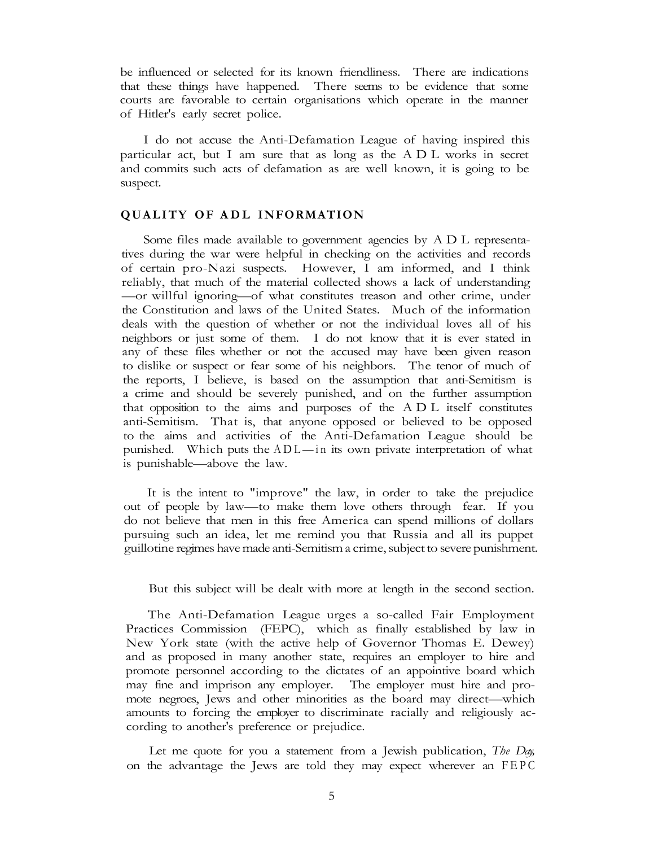be influenced or selected for its known friendliness. There are indications that these things have happened. There seems to be evidence that some courts are favorable to certain organisations which operate in the manner of Hitler's early secret police.

I do not accuse the Anti-Defamation League of having inspired this particular act, but I am sure that as long as the AD L works in secret and commits such acts of defamation as are well known, it is going to be suspect.

#### **QUALITY OF ADL INFORMATION**

Some files made available to government agencies by AD L representatives during the war were helpful in checking on the activities and records of certain pro-Nazi suspects. However, I am informed, and I think reliably, that much of the material collected shows a lack of understanding —or willful ignoring—of what constitutes treason and other crime, under the Constitution and laws of the United States. Much of the information deals with the question of whether or not the individual loves all of his neighbors or just some of them. I do not know that it is ever stated in any of these files whether or not the accused may have been given reason to dislike or suspect or fear some of his neighbors. The tenor of much of the reports, I believe, is based on the assumption that anti-Semitism is a crime and should be severely punished, and on the further assumption that opposition to the aims and purposes of the AD L itself constitutes anti-Semitism. That is, that anyone opposed or believed to be opposed to the aims and activities of the Anti-Defamation League should be punished. Which puts the  $ADL$ —in its own private interpretation of what is punishable—above the law.

It is the intent to "improve" the law, in order to take the prejudice out of people by law—to make them love others through fear. If you do not believe that men in this free America can spend millions of dollars pursuing such an idea, let me remind you that Russia and all its puppet guillotine regimes have made anti-Semitism a crime, subject to severe punishment.

But this subject will be dealt with more at length in the second section.

The Anti-Defamation League urges a so-called Fair Employment Practices Commission (FEPC), which as finally established by law in New York state (with the active help of Governor Thomas E. Dewey) and as proposed in many another state, requires an employer to hire and promote personnel according to the dictates of an appointive board which may fine and imprison any employer. The employer must hire and promote negroes, Jews and other minorities as the board may direct—which amounts to forcing the employer to discriminate racially and religiously according to another's preference or prejudice.

Let me quote for you a statement from a Jewish publication, *The Day,*  on the advantage the Jews are told they may expect wherever an FEP C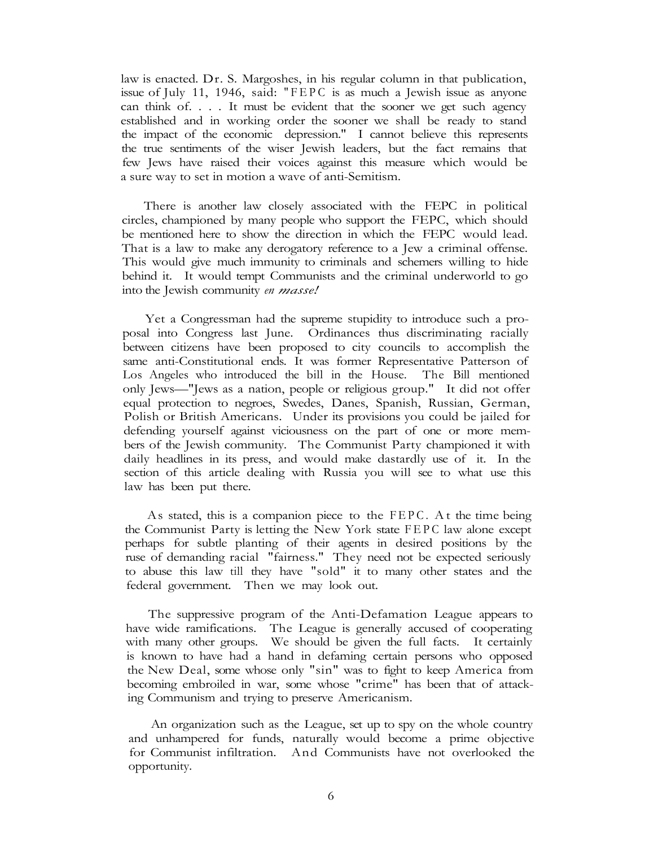law is enacted. Dr. S. Margoshes, in his regular column in that publication, issue of July 11, 1946, said: "FEP C is as much a Jewish issue as anyone can think of. . . . It must be evident that the sooner we get such agency established and in working order the sooner we shall be ready to stand the impact of the economic depression." I cannot believe this represents the true sentiments of the wiser Jewish leaders, but the fact remains that few Jews have raised their voices against this measure which would be a sure way to set in motion a wave of anti-Semitism.

There is another law closely associated with the FEPC in political circles, championed by many people who support the FEPC, which should be mentioned here to show the direction in which the FEPC would lead. That is a law to make any derogatory reference to a Jew a criminal offense. This would give much immunity to criminals and schemers willing to hide behind it. It would tempt Communists and the criminal underworld to go into the Jewish community *en masse!* 

Yet a Congressman had the supreme stupidity to introduce such a proposal into Congress last June. Ordinances thus discriminating racially between citizens have been proposed to city councils to accomplish the same anti-Constitutional ends. It was former Representative Patterson of Los Angeles who introduced the bill in the House. The Bill mentioned only Jews—"Jews as a nation, people or religious group." It did not offer equal protection to negroes, Swedes, Danes, Spanish, Russian, German, Polish or British Americans. Under its provisions you could be jailed for defending yourself against viciousness on the part of one or more members of the Jewish community. The Communist Party championed it with daily headlines in its press, and would make dastardly use of it. In the section of this article dealing with Russia you will see to what use this law has been put there.

As stated, this is a companion piece to the FEPC . At the time being the Communist Party is letting the New York state FEP C law alone except perhaps for subtle planting of their agents in desired positions by the ruse of demanding racial "fairness." They need not be expected seriously to abuse this law till they have "sold" it to many other states and the federal government. Then we may look out.

The suppressive program of the Anti-Defamation League appears to have wide ramifications. The League is generally accused of cooperating with many other groups. We should be given the full facts. It certainly is known to have had a hand in defaming certain persons who opposed the New Deal, some whose only "sin" was to fight to keep America from becoming embroiled in war, some whose "crime" has been that of attacking Communism and trying to preserve Americanism.

An organization such as the League, set up to spy on the whole country and unhampered for funds, naturally would become a prime objective for Communist infiltration. And Communists have not overlooked the opportunity.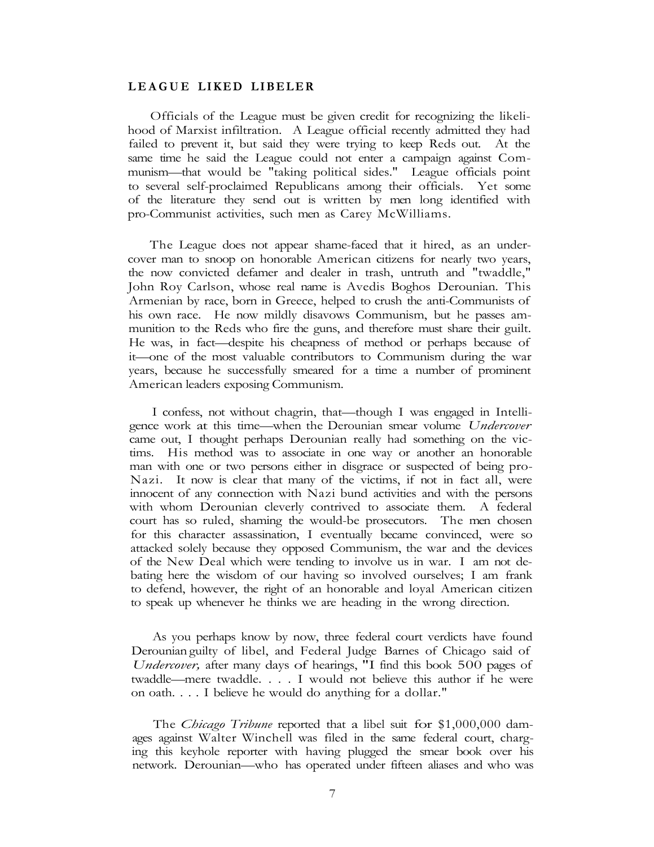#### **LEAGUE LIKED LIBELER**

Officials of the League must be given credit for recognizing the likelihood of Marxist infiltration. A League official recently admitted they had failed to prevent it, but said they were trying to keep Reds out. At the same time he said the League could not enter a campaign against Communism—that would be "taking political sides." League officials point to several self-proclaimed Republicans among their officials. Yet some of the literature they send out is written by men long identified with pro-Communist activities, such men as Carey McWilliams.

The League does not appear shame-faced that it hired, as an undercover man to snoop on honorable American citizens for nearly two years, the now convicted defamer and dealer in trash, untruth and "twaddle," John Roy Carlson, whose real name is Avedis Boghos Derounian. This Armenian by race, born in Greece, helped to crush the anti-Communists of his own race. He now mildly disavows Communism, but he passes ammunition to the Reds who fire the guns, and therefore must share their guilt. He was, in fact—despite his cheapness of method or perhaps because of it—one of the most valuable contributors to Communism during the war years, because he successfully smeared for a time a number of prominent American leaders exposing Communism.

I confess, not without chagrin, that—though I was engaged in Intelligence work at this time—when the Derounian smear volume *Undercover*  came out, I thought perhaps Derounian really had something on the victims. His method was to associate in one way or another an honorable man with one or two persons either in disgrace or suspected of being pro-Nazi. It now is clear that many of the victims, if not in fact all, were innocent of any connection with Nazi bund activities and with the persons with whom Derounian cleverly contrived to associate them. A federal court has so ruled, shaming the would-be prosecutors. The men chosen for this character assassination, I eventually became convinced, were so attacked solely because they opposed Communism, the war and the devices of the New Deal which were tending to involve us in war. I am not debating here the wisdom of our having so involved ourselves; I am frank to defend, however, the right of an honorable and loyal American citizen to speak up whenever he thinks we are heading in the wrong direction.

As you perhaps know by now, three federal court verdicts have found Derounian guilty of libel, and Federal Judge Barnes of Chicago said of *Undercover,* after many days of hearings, "I find this book 500 pages of twaddle—mere twaddle. . . . I would not believe this author if he were on oath. . . . I believe he would do anything for a dollar."

The *Chicago Tribune* reported that a libel suit for \$1,000,000 damages against Walter Winchell was filed in the same federal court, charging this keyhole reporter with having plugged the smear book over his network. Derounian—who has operated under fifteen aliases and who was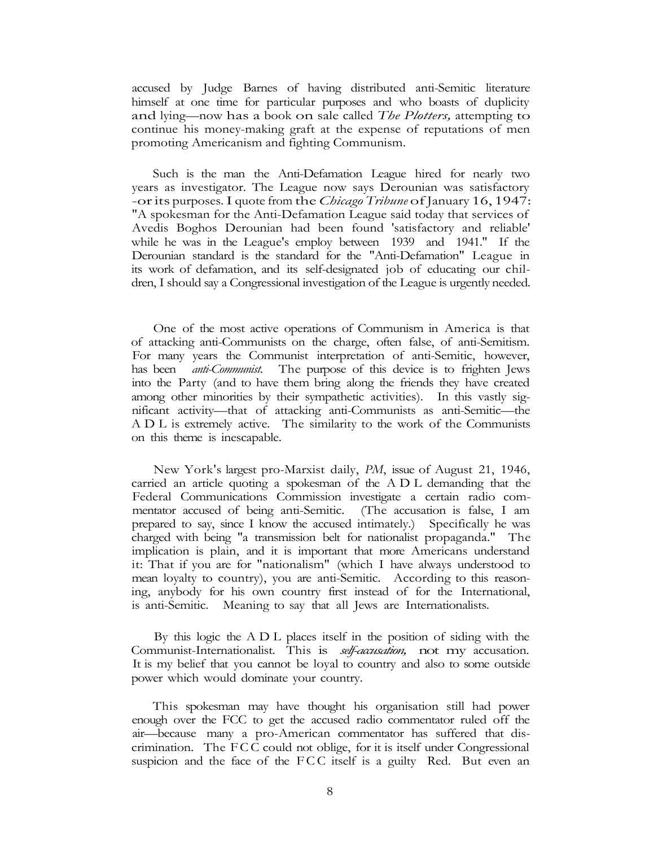accused by Judge Barnes of having distributed anti-Semitic literature himself at one time for particular purposes and who boasts of duplicity and lying—now has a book on sale called *The Plotters,* attempting to continue his money-making graft at the expense of reputations of men promoting Americanism and fighting Communism.

Such is the man the Anti-Defamation League hired for nearly two years as investigator. The League now says Derounian was satisfactory -or its purposes. I quote from the *Chicago Tribune* of January 16, 1947: "A spokesman for the Anti-Defamation League said today that services of Avedis Boghos Derounian had been found 'satisfactory and reliable' while he was in the League's employ between 1939 and 1941." If the Derounian standard is the standard for the "Anti-Defamation" League in its work of defamation, and its self-designated job of educating our children, I should say a Congressional investigation of the League is urgently needed.

One of the most active operations of Communism in America is that of attacking anti-Communists on the charge, often false, of anti-Semitism. For many years the Communist interpretation of anti-Semitic, however, has been *anti-Communist*. The purpose of this device is to frighten Jews into the Party (and to have them bring along the friends they have created among other minorities by their sympathetic activities). In this vastly significant activity—that of attacking anti-Communists as anti-Semitic—the A D L is extremely active. The similarity to the work of the Communists on this theme is inescapable.

New York's largest pro-Marxist daily, *PM*, issue of August 21, 1946, carried an article quoting a spokesman of the AD L demanding that the Federal Communications Commission investigate a certain radio commentator accused of being anti-Semitic. (The accusation is false, I am prepared to say, since I know the accused intimately.) Specifically he was charged with being "a transmission belt for nationalist propaganda." The implication is plain, and it is important that more Americans understand it: That if you are for "nationalism" (which I have always understood to mean loyalty to country), you are anti-Semitic. According to this reasoning, anybody for his own country first instead of for the International, is anti-Semitic. Meaning to say that all Jews are Internationalists.

By this logic the AD L places itself in the position of siding with the Communist-Internationalist. This is *self-accusation,* not my accusation. It is my belief that you cannot be loyal to country and also to some outside power which would dominate your country.

This spokesman may have thought his organisation still had power enough over the FCC to get the accused radio commentator ruled off the air—because many a pro-American commentator has suffered that discrimination. The FCC could not oblige, for it is itself under Congressional suspicion and the face of the FCC itself is a guilty Red. But even an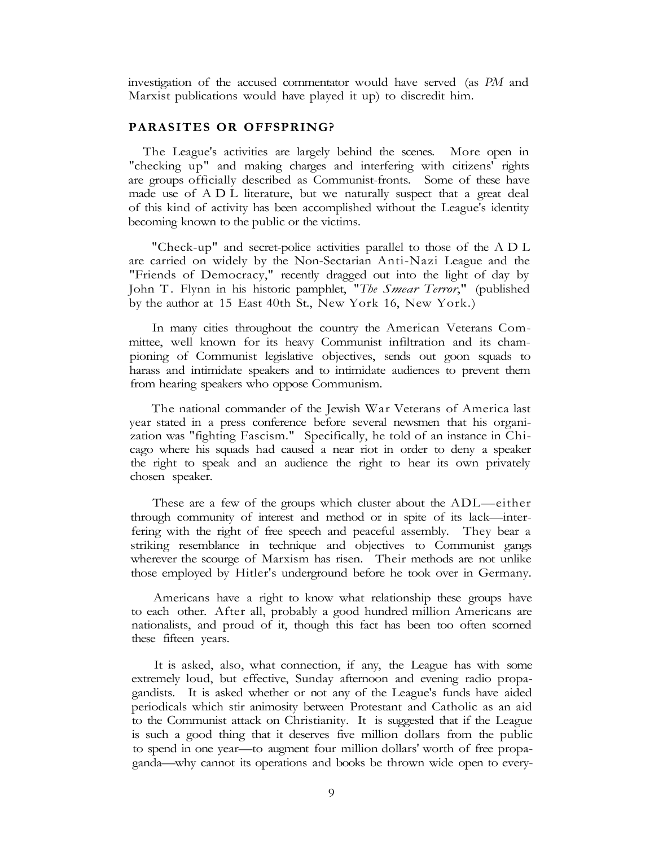investigation of the accused commentator would have served (as *PM* and Marxist publications would have played it up) to discredit him.

#### **PARASITES OR OFFSPRING?**

The League's activities are largely behind the scenes. More open in "checking up" and making charges and interfering with citizens' rights are groups officially described as Communist-fronts. Some of these have made use of AD L literature, but we naturally suspect that a great deal of this kind of activity has been accomplished without the League's identity becoming known to the public or the victims.

"Check-up" and secret-police activities parallel to those of the AD L are carried on widely by the Non-Sectarian Anti-Nazi League and the "Friends of Democracy," recently dragged out into the light of day by John T. Flynn in his historic pamphlet, "*The Smear Terror*," (published by the author at 15 East 40th St., New York 16, New York.)

In many cities throughout the country the American Veterans Committee, well known for its heavy Communist infiltration and its championing of Communist legislative objectives, sends out goon squads to harass and intimidate speakers and to intimidate audiences to prevent them from hearing speakers who oppose Communism.

The national commander of the Jewish War Veterans of America last year stated in a press conference before several newsmen that his organization was "fighting Fascism." Specifically, he told of an instance in Chicago where his squads had caused a near riot in order to deny a speaker the right to speak and an audience the right to hear its own privately chosen speaker.

These are a few of the groups which cluster about the ADL—either through community of interest and method or in spite of its lack—interfering with the right of free speech and peaceful assembly. They bear a striking resemblance in technique and objectives to Communist gangs wherever the scourge of Marxism has risen. Their methods are not unlike those employed by Hitler's underground before he took over in Germany.

Americans have a right to know what relationship these groups have to each other. After all, probably a good hundred million Americans are nationalists, and proud of it, though this fact has been too often scorned these fifteen years.

It is asked, also, what connection, if any, the League has with some extremely loud, but effective, Sunday afternoon and evening radio propagandists. It is asked whether or not any of the League's funds have aided periodicals which stir animosity between Protestant and Catholic as an aid to the Communist attack on Christianity. It is suggested that if the League is such a good thing that it deserves five million dollars from the public to spend in one year—to augment four million dollars' worth of free propaganda—why cannot its operations and books be thrown wide open to every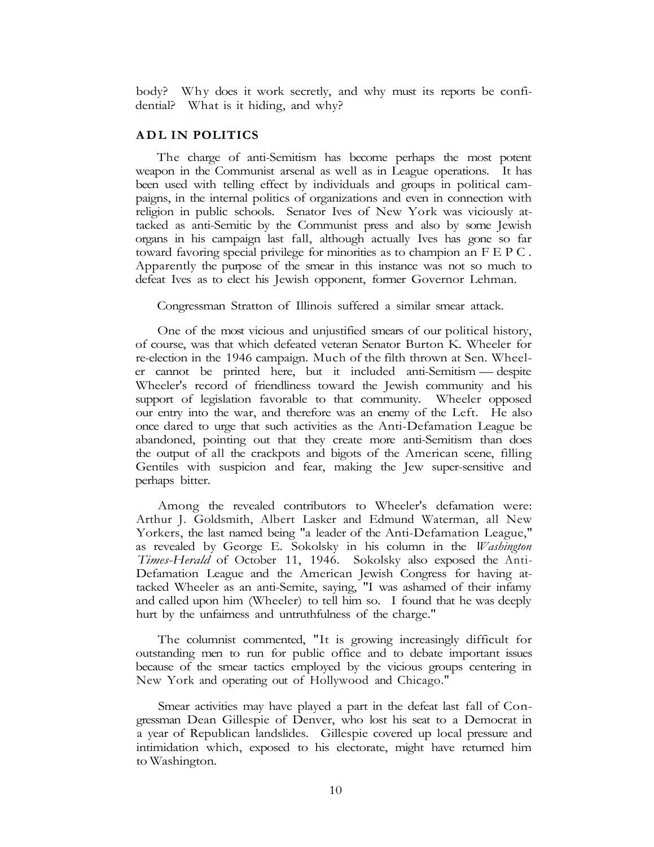body? Why does it work secretly, and why must its reports be confidential? What is it hiding, and why?

#### **A DL IN POLITICS**

The charge of anti-Semitism has become perhaps the most potent weapon in the Communist arsenal as well as in League operations. It has been used with telling effect by individuals and groups in political campaigns, in the internal politics of organizations and even in connection with religion in public schools. Senator Ives of New York was viciously attacked as anti-Semitic by the Communist press and also by some Jewish organs in his campaign last fall, although actually Ives has gone so far toward favoring special privilege for minorities as to champion an FEPC. Apparently the purpose of the smear in this instance was not so much to defeat Ives as to elect his Jewish opponent, former Governor Lehman.

Congressman Stratton of Illinois suffered a similar smear attack.

One of the most vicious and unjustified smears of our political history, of course, was that which defeated veteran Senator Burton K. Wheeler for re-election in the 1946 campaign. Much of the filth thrown at Sen. Wheeler cannot be printed here, but it included anti-Semitism — despite Wheeler's record of friendliness toward the Jewish community and his support of legislation favorable to that community. Wheeler opposed our entry into the war, and therefore was an enemy of the Left. He also once dared to urge that such activities as the Anti-Defamation League be abandoned, pointing out that they create more anti-Semitism than does the output of all the crackpots and bigots of the American scene, filling Gentiles with suspicion and fear, making the Jew super-sensitive and perhaps bitter.

Among the revealed contributors to Wheeler's defamation were: Arthur J. Goldsmith, Albert Lasker and Edmund Waterman, all New Yorkers, the last named being "a leader of the Anti-Defamation League," as revealed by George E. Sokolsky in his column in the *Washington Times-Herald* of October 11, 1946. Sokolsky also exposed the Anti-Defamation League and the American Jewish Congress for having attacked Wheeler as an anti-Semite, saying, "I was ashamed of their infamy and called upon him (Wheeler) to tell him so. I found that he was deeply hurt by the unfairness and untruthfulness of the charge."

The columnist commented, "It is growing increasingly difficult for outstanding men to run for public office and to debate important issues because of the smear tactics employed by the vicious groups centering in New York and operating out of Hollywood and Chicago."

Smear activities may have played a part in the defeat last fall of Congressman Dean Gillespie of Denver, who lost his seat to a Democrat in a year of Republican landslides. Gillespie covered up local pressure and intimidation which, exposed to his electorate, might have returned him to Washington.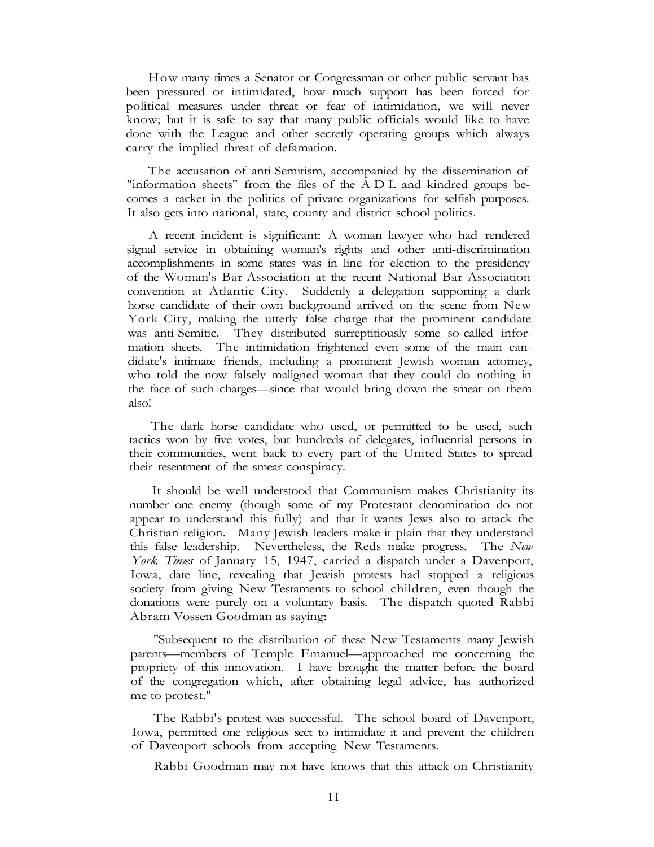How many times a Senator or Congressman or other public servant has been pressured or intimidated, how much support has been forced for political measures under threat or fear of intimidation, we will never know; but it is safe to say that many public officials would like to have done with the League and other secretly operating groups which always carry the implied threat of defamation.

The accusation of anti-Semitism, accompanied by the dissemination of "information sheets" from the files of the AD L and kindred groups becomes a racket in the politics of private organizations for selfish purposes. It also gets into national, state, county and district school politics.

A recent incident is significant: A woman lawyer who had rendered signal service in obtaining woman's rights and other anti-discrimination accomplishments in some states was in line for election to the presidency of the Woman's Bar Association at the recent National Bar Association convention at Atlantic City. Suddenly a delegation supporting a dark horse candidate of their own background arrived on the scene from New York City, making the utterly false charge that the prominent candidate was anti-Semitic. They distributed surreptitiously some so-called information sheets. The intimidation frightened even some of the main candidate's intimate friends, including a prominent Jewish woman attorney, who told the now falsely maligned woman that they could do nothing in the face of such charges—since that would bring down the smear on them also!

The dark horse candidate who used, or permitted to be used, such tactics won by five votes, but hundreds of delegates, influential persons in their communities, went back to every part of the United States to spread their resentment of the smear conspiracy.

It should be well understood that Communism makes Christianity its number one enemy (though some of my Protestant denomination do not appear to understand this fully) and that it wants Jews also to attack the Christian religion. Many Jewish leaders make it plain that they understand this false leadership. Nevertheless, the Reds make progress. The *New York Times* of January 15, 1947, carried a dispatch under a Davenport, Iowa, date line, revealing that Jewish protests had stopped a religious society from giving New Testaments to school children, even though the donations were purely on a voluntary basis. The dispatch quoted Rabbi Abram Vossen Goodman as saying:

"Subsequent to the distribution of these New Testaments many Jewish parents—members of Temple Emanuel—approached me concerning the propriety of this innovation. I have brought the matter before the board of the congregation which, after obtaining legal advice, has authorized me to protest."

The Rabbi's protest was successful. The school board of Davenport, Iowa, permitted one religious sect to intimidate it and prevent the children of Davenport schools from accepting New Testaments.

Rabbi Goodman may not have knows that this attack on Christianity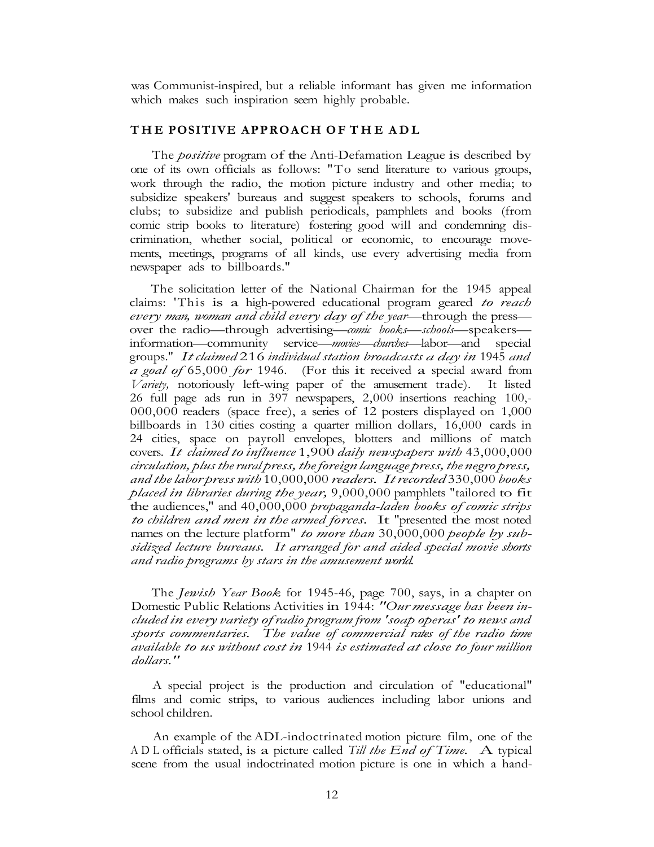was Communist-inspired, but a reliable informant has given me information which makes such inspiration seem highly probable.

#### **T H E POSITIVE APPROACH OF TH E AD L**

The *positive* program of the Anti-Defamation League is described by one of its own officials as follows: "To send literature to various groups, work through the radio, the motion picture industry and other media; to subsidize speakers' bureaus and suggest speakers to schools, forums and clubs; to subsidize and publish periodicals, pamphlets and books (from comic strip books to literature) fostering good will and condemning discrimination, whether social, political or economic, to encourage movements, meetings, programs of all kinds, use every advertising media from newspaper ads to billboards."

The solicitation letter of the National Chairman for the 1945 appeal claims: 'This is a high-powered educational program geared *to reach every man, woman and child every day of the year*—through the press over the radio—through advertising—*comic books—schools*—speakers information—community service—*movies*—*churches*—labor—and special groups." *It claimed* 216 *individual station broadcasts a day in* 1945 *and a goal of* 65,000 *for* 1946. (For this it received a special award from *Variety*, notoriously left-wing paper of the amusement trade). It listed *Variety*, notoriously left-wing paper of the amusement trade). 26 full page ads run in 397 newspapers, 2,000 insertions reaching 100,- 000,000 readers (space free), a series of 12 posters displayed on 1,000 billboards in 130 cities costing a quarter million dollars, 16,000 cards in 24 cities, space on payroll envelopes, blotters and millions of match covers. *It claimed to influence* 1,900 *daily newspapers with* 43,000,000 *circulation, plus the rural press, the foreign language press, the negro press, and the labor press with* 10,000,000 *readers. It recorded* 330,000 *books placed in libraries during the year,* 9,000,000 pamphlets "tailored to fit the audiences," and 40,000,000 *propaganda-laden books of comic strips to children and men in the armed forces.* It "presented the most noted names on the lecture platform" *to more than* 30,000,000 *people by subsidized lecture bureaus. It arranged for and aided special movie shorts and radio programs by stars in the amusement world.* 

The *Jewish Year Book* for 1945-46, page 700, says, in a chapter on Domestic Public Relations Activities in 1944: *"Our message has been included in every variety of radio program from 'soap operas' to news and sports commentaries. The value of commercial rates of the radio time available to us without cost in* 1944 *is estimated at close to four million dollars."* 

A special project is the production and circulation of "educational" films and comic strips, to various audiences including labor unions and school children.

An example of the ADL-indoctrinated motion picture film, one of the A D L officials stated, is a picture called *Till the End of Time.* A typical scene from the usual indoctrinated motion picture is one in which a hand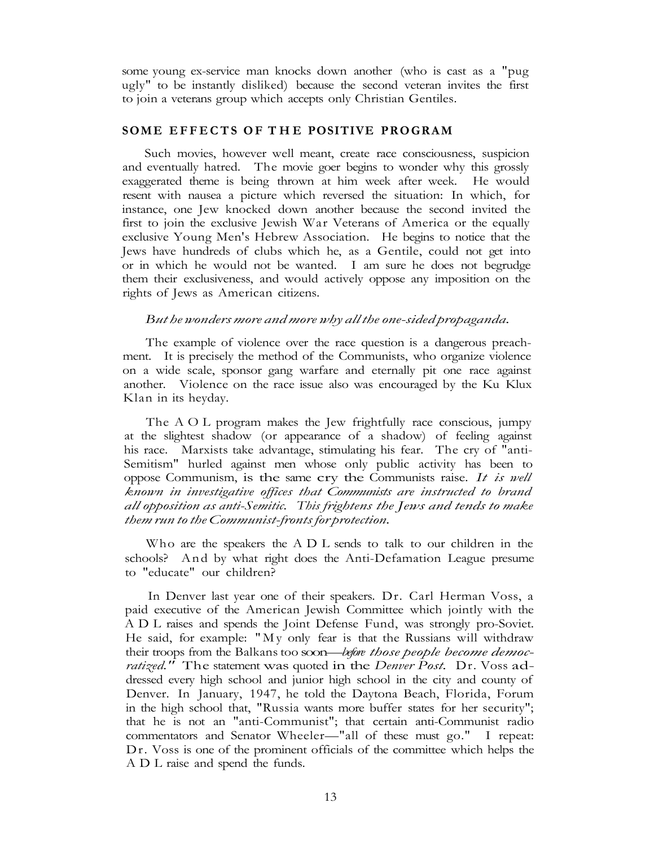some young ex-service man knocks down another (who is cast as a "pug ugly" to be instantly disliked) because the second veteran invites the first to join a veterans group which accepts only Christian Gentiles.

#### **SOME EFFECTS OF THE POSITIVE PROGRAM**

Such movies, however well meant, create race consciousness, suspicion and eventually hatred. The movie goer begins to wonder why this grossly exaggerated theme is being thrown at him week after week. He would resent with nausea a picture which reversed the situation: In which, for instance, one Jew knocked down another because the second invited the first to join the exclusive Jewish War Veterans of America or the equally exclusive Young Men's Hebrew Association. He begins to notice that the Jews have hundreds of clubs which he, as a Gentile, could not get into or in which he would not be wanted. I am sure he does not begrudge them their exclusiveness, and would actively oppose any imposition on the rights of Jews as American citizens.

#### *But he wonders more and more why all the one-sided propaganda.*

The example of violence over the race question is a dangerous preachment. It is precisely the method of the Communists, who organize violence on a wide scale, sponsor gang warfare and eternally pit one race against another. Violence on the race issue also was encouraged by the Ku Klux Klan in its heyday.

The AO L program makes the Jew frightfully race conscious, jumpy at the slightest shadow (or appearance of a shadow) of feeling against his race. Marxists take advantage, stimulating his fear. The cry of "anti-Semitism" hurled against men whose only public activity has been to oppose Communism, is the same cry the Communists raise. *It is well known in investigative offices that Communists are instructed to brand all opposition as anti-Semitic. This frightens the Jews and tends to make them run to the Communist-fronts for protection.* 

Who are the speakers the AD L sends to talk to our children in the schools? And by what right does the Anti-Defamation League presume to "educate" our children?

In Denver last year one of their speakers. Dr. Carl Herman Voss, a paid executive of the American Jewish Committee which jointly with the A D L raises and spends the Joint Defense Fund, was strongly pro-Soviet. He said, for example: "My only fear is that the Russians will withdraw their troops from the Balkans too soon—*before those people become democratized."* The statement was quoted in the *Denver Post.* Dr. Voss addressed every high school and junior high school in the city and county of Denver. In January, 1947, he told the Daytona Beach, Florida, Forum in the high school that, "Russia wants more buffer states for her security"; that he is not an "anti-Communist"; that certain anti-Communist radio commentators and Senator Wheeler—"all of these must go." I repeat: Dr. Voss is one of the prominent officials of the committee which helps the A D L raise and spend the funds.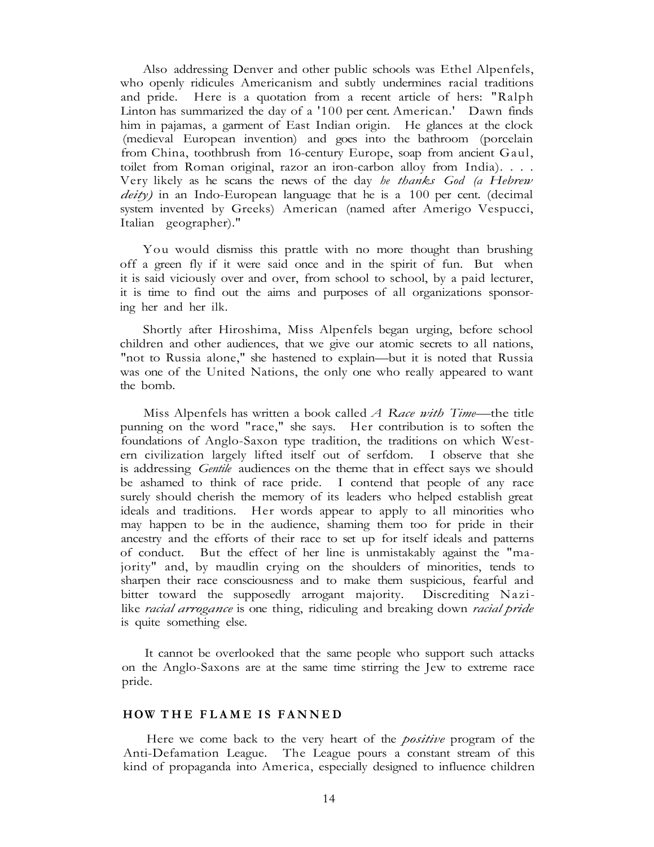Also addressing Denver and other public schools was Ethel Alpenfels, who openly ridicules Americanism and subtly undermines racial traditions and pride. Here is a quotation from a recent article of hers: "Ralph Linton has summarized the day of a '100 per cent. American.' Dawn finds him in pajamas, a garment of East Indian origin. He glances at the clock (medieval European invention) and goes into the bathroom (porcelain from China, toothbrush from 16-century Europe, soap from ancient Gaul, toilet from Roman original, razor an iron-carbon alloy from India). . . . Very likely as he scans the news of the day *he thanks God (a Hebrew deity)* in an Indo-European language that he is a 100 per cent. (decimal system invented by Greeks) American (named after Amerigo Vespucci, Italian geographer)."

You would dismiss this prattle with no more thought than brushing off a green fly if it were said once and in the spirit of fun. But when it is said viciously over and over, from school to school, by a paid lecturer, it is time to find out the aims and purposes of all organizations sponsoring her and her ilk.

Shortly after Hiroshima, Miss Alpenfels began urging, before school children and other audiences, that we give our atomic secrets to all nations, "not to Russia alone," she hastened to explain—but it is noted that Russia was one of the United Nations, the only one who really appeared to want the bomb.

Miss Alpenfels has written a book called *A Race with Time*—the title punning on the word "race," she says. Her contribution is to soften the foundations of Anglo-Saxon type tradition, the traditions on which Western civilization largely lifted itself out of serfdom. I observe that she is addressing *Gentile* audiences on the theme that in effect says we should be ashamed to think of race pride. I contend that people of any race surely should cherish the memory of its leaders who helped establish great ideals and traditions. Her words appear to apply to all minorities who may happen to be in the audience, shaming them too for pride in their ancestry and the efforts of their race to set up for itself ideals and patterns of conduct. But the effect of her line is unmistakably against the "majority" and, by maudlin crying on the shoulders of minorities, tends to sharpen their race consciousness and to make them suspicious, fearful and bitter toward the supposedly arrogant majority. Discrediting Nazilike *racial arrogance* is one thing, ridiculing and breaking down *racial pride*  is quite something else.

It cannot be overlooked that the same people who support such attacks on the Anglo-Saxons are at the same time stirring the Jew to extreme race pride.

#### **HOW TH E FLAM E I S FANNE D**

Here we come back to the very heart of the *positive* program of the Anti-Defamation League. The League pours a constant stream of this kind of propaganda into America, especially designed to influence children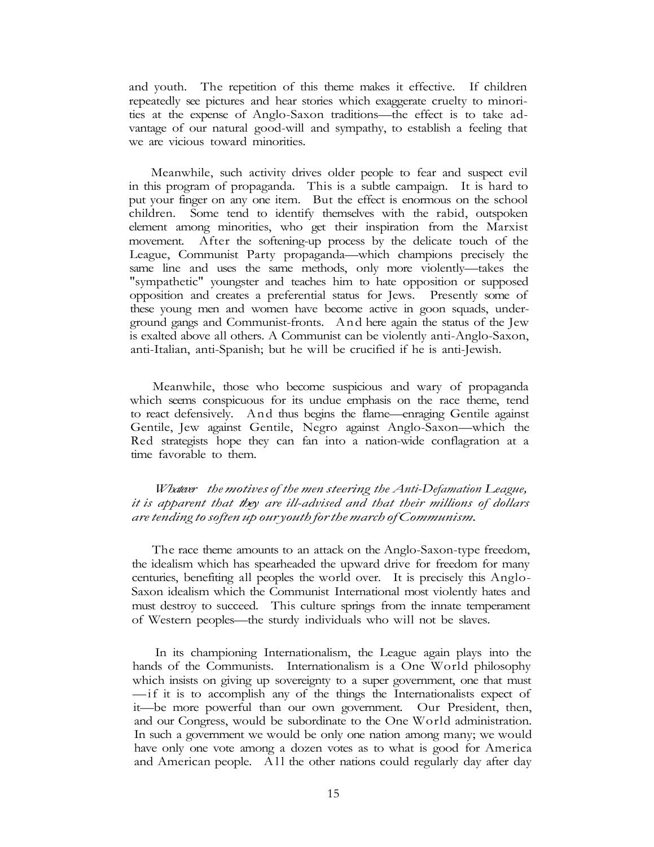and youth. The repetition of this theme makes it effective. If children repeatedly see pictures and hear stories which exaggerate cruelty to minorities at the expense of Anglo-Saxon traditions—the effect is to take advantage of our natural good-will and sympathy, to establish a feeling that we are vicious toward minorities.

Meanwhile, such activity drives older people to fear and suspect evil in this program of propaganda. This is a subtle campaign. It is hard to put your finger on any one item. But the effect is enormous on the school children. Some tend to identify themselves with the rabid, outspoken element among minorities, who get their inspiration from the Marxist movement. After the softening-up process by the delicate touch of the League, Communist Party propaganda—which champions precisely the same line and uses the same methods, only more violently—takes the "sympathetic" youngster and teaches him to hate opposition or supposed opposition and creates a preferential status for Jews. Presently some of these young men and women have become active in goon squads, underground gangs and Communist-fronts. And here again the status of the Jew is exalted above all others. A Communist can be violently anti-Anglo-Saxon, anti-Italian, anti-Spanish; but he will be crucified if he is anti-Jewish.

Meanwhile, those who become suspicious and wary of propaganda which seems conspicuous for its undue emphasis on the race theme, tend to react defensively. And thus begins the flame—enraging Gentile against Gentile, Jew against Gentile, Negro against Anglo-Saxon—which the Red strategists hope they can fan into a nation-wide conflagration at a time favorable to them.

*Whatever the motives of the men steering the Anti-Defamation League, it is apparent that they are ill-advised and that their millions of dollars are tending to soften up our youth for the march of Communism.* 

The race theme amounts to an attack on the Anglo-Saxon-type freedom, the idealism which has spearheaded the upward drive for freedom for many centuries, benefiting all peoples the world over. It is precisely this Anglo-Saxon idealism which the Communist International most violently hates and must destroy to succeed. This culture springs from the innate temperament of Western peoples—the sturdy individuals who will not be slaves.

In its championing Internationalism, the League again plays into the hands of the Communists. Internationalism is a One World philosophy which insists on giving up sovereignty to a super government, one that must —if it is to accomplish any of the things the Internationalists expect of it—be more powerful than our own government. Our President, then, and our Congress, would be subordinate to the One World administration. In such a government we would be only one nation among many; we would have only one vote among a dozen votes as to what is good for America and American people.  $\tilde{A}$  II the other nations could regularly day after day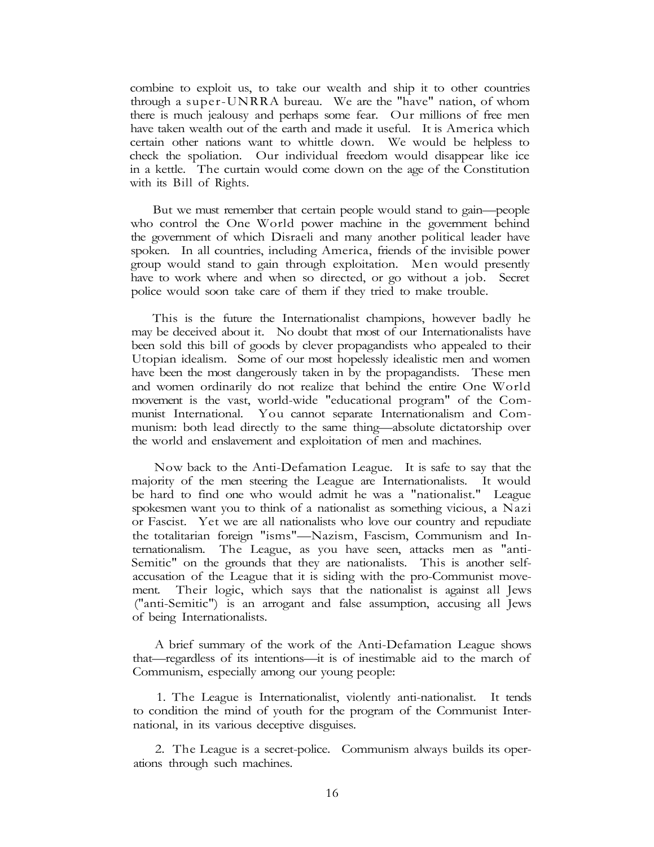combine to exploit us, to take our wealth and ship it to other countries through a super-UNRRA bureau. We are the "have" nation, of whom there is much jealousy and perhaps some fear. Our millions of free men have taken wealth out of the earth and made it useful. It is America which certain other nations want to whittle down. We would be helpless to check the spoliation. Our individual freedom would disappear like ice in a kettle. The curtain would come down on the age of the Constitution with its Bill of Rights.

But we must remember that certain people would stand to gain—people who control the One World power machine in the government behind the government of which Disraeli and many another political leader have spoken. In all countries, including America, friends of the invisible power group would stand to gain through exploitation. Men would presently have to work where and when so directed, or go without a job. Secret police would soon take care of them if they tried to make trouble.

This is the future the Internationalist champions, however badly he may be deceived about it. No doubt that most of our Internationalists have been sold this bill of goods by clever propagandists who appealed to their Utopian idealism. Some of our most hopelessly idealistic men and women have been the most dangerously taken in by the propagandists. These men and women ordinarily do not realize that behind the entire One World movement is the vast, world-wide "educational program" of the Communist International. You cannot separate Internationalism and Communism: both lead directly to the same thing—absolute dictatorship over the world and enslavement and exploitation of men and machines.

Now back to the Anti-Defamation League. It is safe to say that the majority of the men steering the League are Internationalists. It would be hard to find one who would admit he was a "nationalist." League spokesmen want you to think of a nationalist as something vicious, a Nazi or Fascist. Yet we are all nationalists who love our country and repudiate the totalitarian foreign "isms"—Nazism, Fascism, Communism and Internationalism. The League, as you have seen, attacks men as "anti-Semitic" on the grounds that they are nationalists. This is another selfaccusation of the League that it is siding with the pro-Communist movement. Their logic, which says that the nationalist is against all Jews ("anti-Semitic") is an arrogant and false assumption, accusing all Jews of being Internationalists.

A brief summary of the work of the Anti-Defamation League shows that—regardless of its intentions—it is of inestimable aid to the march of Communism, especially among our young people:

1. The League is Internationalist, violently anti-nationalist. It tends to condition the mind of youth for the program of the Communist International, in its various deceptive disguises.

2. The League is a secret-police. Communism always builds its operations through such machines.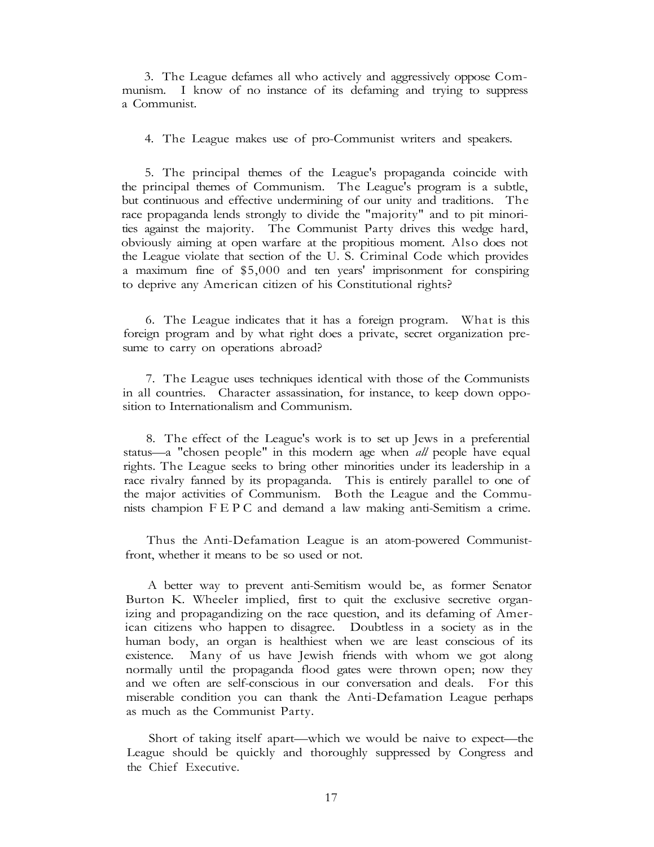3. The League defames all who actively and aggressively oppose Communism. I know of no instance of its defaming and trying to suppress a Communist.

4. The League makes use of pro-Communist writers and speakers.

5. The principal themes of the League's propaganda coincide with the principal themes of Communism. The League's program is a subtle, but continuous and effective undermining of our unity and traditions. The race propaganda lends strongly to divide the "majority" and to pit minorities against the majority. The Communist Party drives this wedge hard, obviously aiming at open warfare at the propitious moment. Also does not the League violate that section of the U. S. Criminal Code which provides a maximum fine of \$5,000 and ten years' imprisonment for conspiring to deprive any American citizen of his Constitutional rights?

6. The League indicates that it has a foreign program. What is this foreign program and by what right does a private, secret organization presume to carry on operations abroad?

7. The League uses techniques identical with those of the Communists in all countries. Character assassination, for instance, to keep down opposition to Internationalism and Communism.

8. The effect of the League's work is to set up Jews in a preferential status—a "chosen people" in this modern age when *all* people have equal rights. The League seeks to bring other minorities under its leadership in a race rivalry fanned by its propaganda. This is entirely parallel to one of the major activities of Communism. Both the League and the Communists champion FEP C and demand a law making anti-Semitism a crime.

Thus the Anti-Defamation League is an atom-powered Communistfront, whether it means to be so used or not.

A better way to prevent anti-Semitism would be, as former Senator Burton K. Wheeler implied, first to quit the exclusive secretive organizing and propagandizing on the race question, and its defaming of American citizens who happen to disagree. Doubtless in a society as in the human body, an organ is healthiest when we are least conscious of its existence. Many of us have Jewish friends with whom we got along normally until the propaganda flood gates were thrown open; now they and we often are self-conscious in our conversation and deals. For this miserable condition you can thank the Anti-Defamation League perhaps as much as the Communist Party.

Short of taking itself apart—which we would be naive to expect—the League should be quickly and thoroughly suppressed by Congress and the Chief Executive.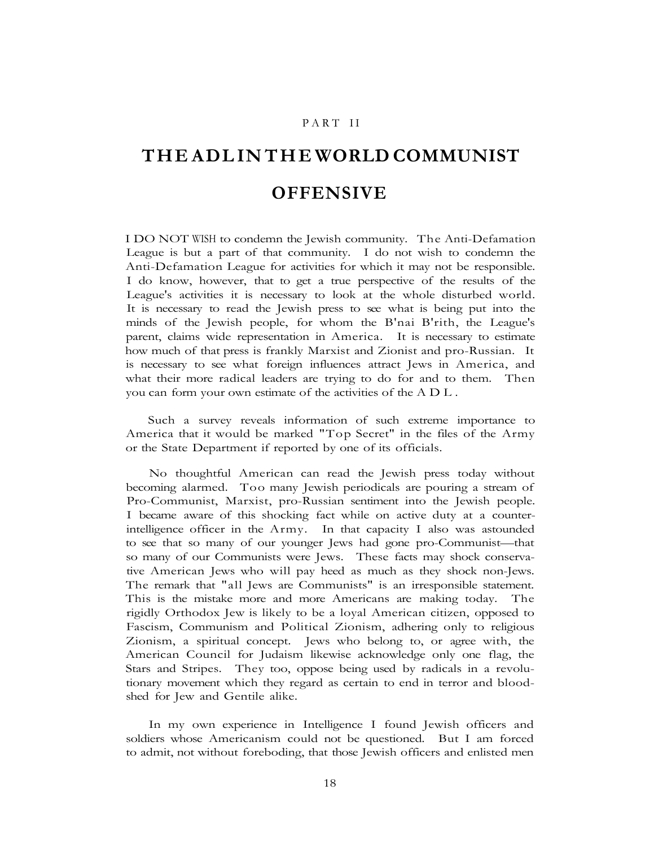#### PART II

### **THE ADL IN THE WORLD COMMUNIST OFFENSIVE**

I DO NOT WISH to condemn the Jewish community. The Anti-Defamation League is but a part of that community. I do not wish to condemn the Anti-Defamation League for activities for which it may not be responsible. I do know, however, that to get a true perspective of the results of the League's activities it is necessary to look at the whole disturbed world. It is necessary to read the Jewish press to see what is being put into the minds of the Jewish people, for whom the B'nai B'rith, the League's parent, claims wide representation in America. It is necessary to estimate how much of that press is frankly Marxist and Zionist and pro-Russian. It is necessary to see what foreign influences attract Jews in America, and what their more radical leaders are trying to do for and to them. Then you can form your own estimate of the activities of the ADL .

Such a survey reveals information of such extreme importance to America that it would be marked "Top Secret" in the files of the Army or the State Department if reported by one of its officials.

No thoughtful American can read the Jewish press today without becoming alarmed. Too many Jewish periodicals are pouring a stream of Pro-Communist, Marxist, pro-Russian sentiment into the Jewish people. I became aware of this shocking fact while on active duty at a counterintelligence officer in the Army. In that capacity I also was astounded to see that so many of our younger Jews had gone pro-Communist—that so many of our Communists were Jews. These facts may shock conservative American Jews who will pay heed as much as they shock non-Jews. The remark that "all Jews are Communists" is an irresponsible statement. This is the mistake more and more Americans are making today. The rigidly Orthodox Jew is likely to be a loyal American citizen, opposed to Fascism, Communism and Political Zionism, adhering only to religious Zionism, a spiritual concept. Jews who belong to, or agree with, the American Council for Judaism likewise acknowledge only one flag, the Stars and Stripes. They too, oppose being used by radicals in a revolutionary movement which they regard as certain to end in terror and bloodshed for Jew and Gentile alike.

In my own experience in Intelligence I found Jewish officers and soldiers whose Americanism could not be questioned. But I am forced to admit, not without foreboding, that those Jewish officers and enlisted men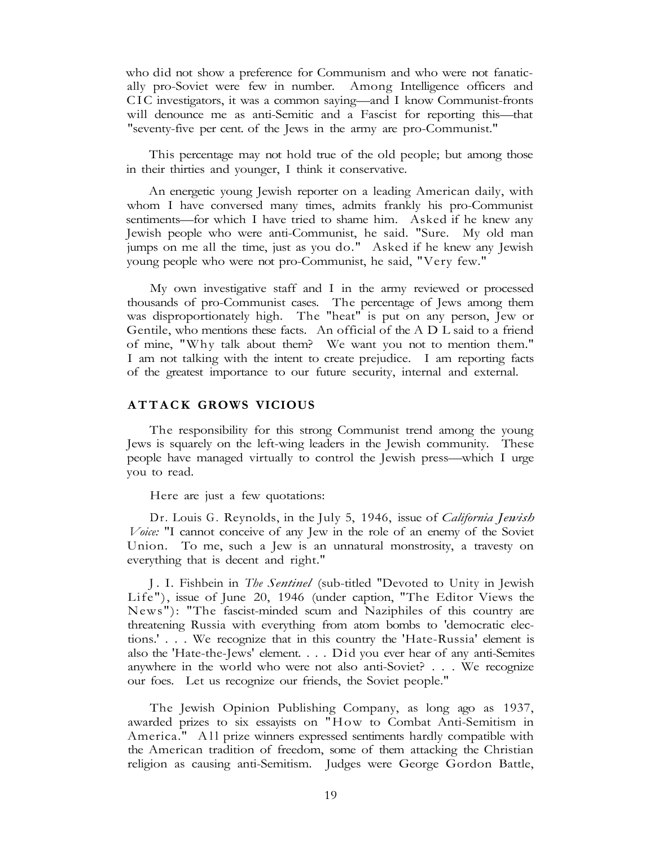who did not show a preference for Communism and who were not fanatically pro-Soviet were few in number. Among Intelligence officers and CIC investigators, it was a common saying—and I know Communist-fronts will denounce me as anti-Semitic and a Fascist for reporting this—that "seventy-five per cent. of the Jews in the army are pro-Communist."

This percentage may not hold true of the old people; but among those in their thirties and younger, I think it conservative.

An energetic young Jewish reporter on a leading American daily, with whom I have conversed many times, admits frankly his pro-Communist sentiments—for which I have tried to shame him. Asked if he knew any Jewish people who were anti-Communist, he said. "Sure. My old man jumps on me all the time, just as you do." Asked if he knew any Jewish young people who were not pro-Communist, he said, "Very few."

My own investigative staff and I in the army reviewed or processed thousands of pro-Communist cases. The percentage of Jews among them was disproportionately high. The "heat" is put on any person, Jew or Gentile, who mentions these facts. An official of the AD L said to a friend of mine, "Why talk about them? We want you not to mention them." I am not talking with the intent to create prejudice. I am reporting facts of the greatest importance to our future security, internal and external.

#### **ATTACK GROWS VICIOUS**

The responsibility for this strong Communist trend among the young Jews is squarely on the left-wing leaders in the Jewish community. These people have managed virtually to control the Jewish press—which I urge you to read.

Here are just a few quotations:

Dr. Louis G . Reynolds, in the July 5, 1946, issue of *California Jewish Voice:* "I cannot conceive of any Jew in the role of an enemy of the Soviet Union. To me, such a Jew is an unnatural monstrosity, a travesty on everything that is decent and right."

J . I. Fishbein in *The Sentinel* (sub-titled "Devoted to Unity in Jewish Life"), issue of June 20, 1946 (under caption, "The Editor Views the News"): "The fascist-minded scum and Naziphiles of this country are threatening Russia with everything from atom bombs to 'democratic elections.' . . . We recognize that in this country the 'Hate-Russia' element is also the 'Hate-the-Jews' element. . . . Did you ever hear of any anti-Semites anywhere in the world who were not also anti-Soviet? . . . We recognize our foes. Let us recognize our friends, the Soviet people."

The Jewish Opinion Publishing Company, as long ago as 1937, awarded prizes to six essayists on "How to Combat Anti-Semitism in America." All prize winners expressed sentiments hardly compatible with the American tradition of freedom, some of them attacking the Christian religion as causing anti-Semitism. Judges were George Gordon Battle,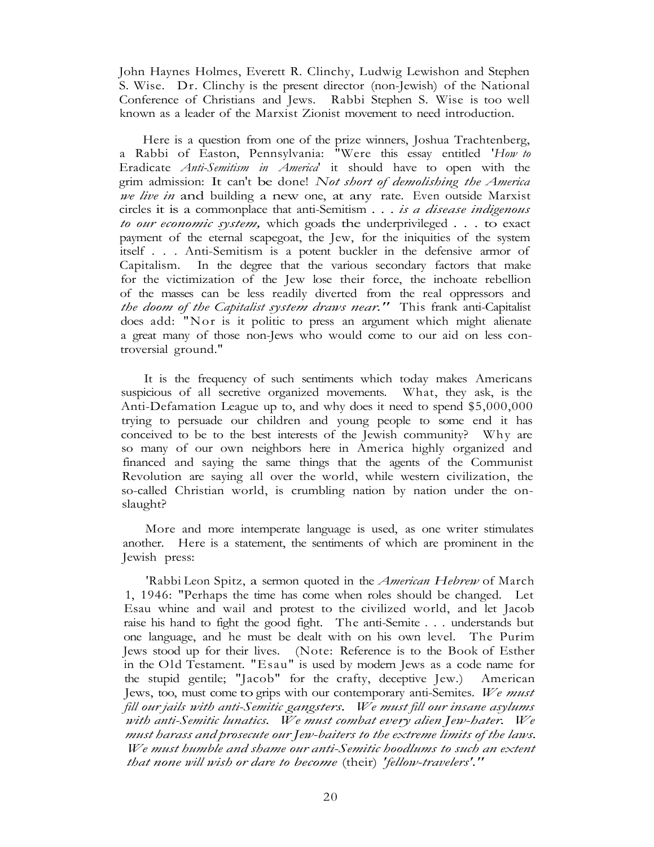John Haynes Holmes, Everett R. Clinchy, Ludwig Lewishon and Stephen S. Wise. Dr. Clinchy is the present director (non-Jewish) of the National Conference of Christians and Jews. Rabbi Stephen S. Wise is too well known as a leader of the Marxist Zionist movement to need introduction.

Here is a question from one of the prize winners, Joshua Trachtenberg, a Rabbi of Easton, Pennsylvania: "Were this essay entitled '*How to*  Eradicate *Anti-Semitism in America*' it should have to open with the grim admission: It can't be done! *Not short of demolishing the America we live in* and building a new one, at any rate. Even outside Marxist circles it is a commonplace that anti-Semitism . . . *is a disease indigenous to our economic system,* which goads the underprivileged . . . to exact payment of the eternal scapegoat, the Jew, for the iniquities of the system itself . . . Anti-Semitism is a potent buckler in the defensive armor of Capitalism. In the degree that the various secondary factors that make for the victimization of the Jew lose their force, the inchoate rebellion of the masses can be less readily diverted from the real oppressors and *the doom of the Capitalist system draws near."* This frank anti-Capitalist does add: "Nor is it politic to press an argument which might alienate a great many of those non-Jews who would come to our aid on less controversial ground."

It is the frequency of such sentiments which today makes Americans suspicious of all secretive organized movements. What, they ask, is the Anti-Defamation League up to, and why does it need to spend \$5,000,000 trying to persuade our children and young people to some end it has conceived to be to the best interests of the Jewish community? Why are so many of our own neighbors here in America highly organized and financed and saying the same things that the agents of the Communist Revolution are saying all over the world, while western civilization, the so-called Christian world, is crumbling nation by nation under the onslaught?

More and more intemperate language is used, as one writer stimulates another. Here is a statement, the sentiments of which are prominent in the Jewish press:

'Rabbi Leon Spitz, a sermon quoted in the *American Hebrew* of March 1, 1946: "Perhaps the time has come when roles should be changed. Let Esau whine and wail and protest to the civilized world, and let Jacob raise his hand to fight the good fight. The anti-Semite . . . understands but one language, and he must be dealt with on his own level. The Purim Jews stood up for their lives. (Note: Reference is to the Book of Esther in the Old Testament. "Esau" is used by modern Jews as a code name for the stupid gentile; "Jacob" for the crafty, deceptive Jew.) American Jews, too, must come to grips with our contemporary anti-Semites. *We must fill our jails with anti-Semitic gangsters. We must fill our insane asylums with anti-Semitic lunatics. We must combat every alien Jew-hater. We must harass and prosecute our Jew-baiters to the extreme limits of the laws. We must humble and shame our anti-Semitic hoodlums to such an extent that none will wish or dare to become* (their) *'fellow-travelers'."*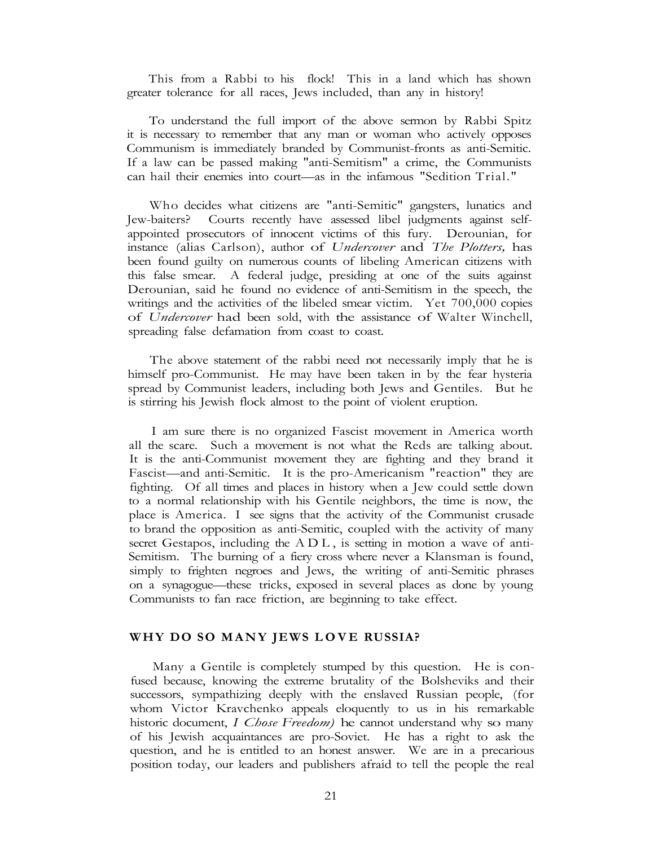This from a Rabbi to his flock! This in a land which has shown greater tolerance for all races, Jews included, than any in history!

To understand the full import of the above sermon by Rabbi Spitz it is necessary to remember that any man or woman who actively opposes Communism is immediately branded by Communist-fronts as anti-Semitic. If a law can be passed making "anti-Semitism" a crime, the Communists can hail their enemies into court—as in the infamous "Sedition Trial."

Who decides what citizens are "anti-Semitic" gangsters, lunatics and Jew-baiters? Courts recently have assessed libel judgments against selfappointed prosecutors of innocent victims of this fury. Derounian, for instance (alias Carlson), author of *Undercover* and *The Plotters,* has been found guilty on numerous counts of libeling American citizens with this false smear. A federal judge, presiding at one of the suits against Derounian, said he found no evidence of anti-Semitism in the speech, the writings and the activities of the libeled smear victim. Yet 700,000 copies of *Undercover* had been sold, with the assistance of Walter Winchell, spreading false defamation from coast to coast.

The above statement of the rabbi need not necessarily imply that he is himself pro-Communist. He may have been taken in by the fear hysteria spread by Communist leaders, including both Jews and Gentiles. But he is stirring his Jewish flock almost to the point of violent eruption.

I am sure there is no organized Fascist movement in America worth all the scare. Such a movement is not what the Reds are talking about. It is the anti-Communist movement they are fighting and they brand it Fascist—and anti-Semitic. It is the pro-Americanism "reaction" they are fighting. Of all times and places in history when a Jew could settle down to a normal relationship with his Gentile neighbors, the time is now, the place is America. I see signs that the activity of the Communist crusade to brand the opposition as anti-Semitic, coupled with the activity of many secret Gestapos, including the ADL , is setting in motion a wave of anti-Semitism. The burning of a fiery cross where never a Klansman is found, simply to frighten negroes and Jews, the writing of anti-Semitic phrases on a synagogue—these tricks, exposed in several places as done by young Communists to fan race friction, are beginning to take effect.

#### WHY DO SO MANY JEWS LOVE RUSSIA?

Many a Gentile is completely stumped by this question. He is confused because, knowing the extreme brutality of the Bolsheviks and their successors, sympathizing deeply with the enslaved Russian people, (for whom Victor Kravchenko appeals eloquently to us in his remarkable historic document, *I Chose Freedom)* he cannot understand why so many of his Jewish acquaintances are pro-Soviet. He has a right to ask the question, and he is entitled to an honest answer. We are in a precarious position today, our leaders and publishers afraid to tell the people the real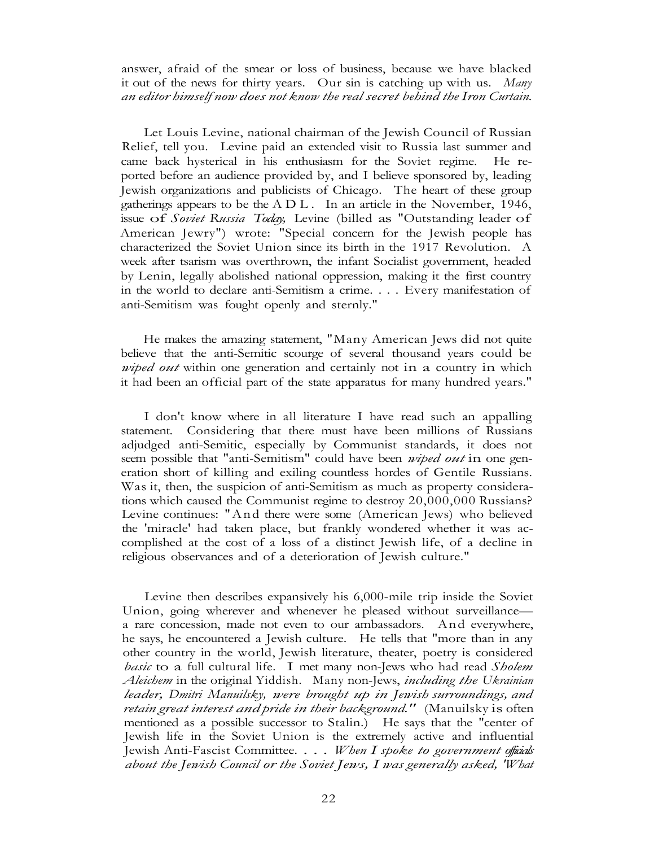answer, afraid of the smear or loss of business, because we have blacked it out of the news for thirty years. Our sin is catching up with us. *Many an editor himself now does not know the real secret behind the Iron Curtain.* 

Let Louis Levine, national chairman of the Jewish Council of Russian Relief, tell you. Levine paid an extended visit to Russia last summer and came back hysterical in his enthusiasm for the Soviet regime. He reported before an audience provided by, and I believe sponsored by, leading Jewish organizations and publicists of Chicago. The heart of these group gatherings appears to be the ADL . In an article in the November, 1946, issue of *Soviet Russia Today,* Levine (billed as "Outstanding leader of American Jewry") wrote: "Special concern for the Jewish people has characterized the Soviet Union since its birth in the 1917 Revolution. A week after tsarism was overthrown, the infant Socialist government, headed by Lenin, legally abolished national oppression, making it the first country in the world to declare anti-Semitism a crime. . . . Every manifestation of anti-Semitism was fought openly and sternly."

He makes the amazing statement, "Many American Jews did not quite believe that the anti-Semitic scourge of several thousand years could be *wiped out* within one generation and certainly not in a country in which it had been an official part of the state apparatus for many hundred years."

I don't know where in all literature I have read such an appalling statement. Considering that there must have been millions of Russians adjudged anti-Semitic, especially by Communist standards, it does not seem possible that "anti-Semitism" could have been *wiped out* in one generation short of killing and exiling countless hordes of Gentile Russians. Was it, then, the suspicion of anti-Semitism as much as property considerations which caused the Communist regime to destroy 20,000,000 Russians? Levine continues: "An d there were some (American Jews) who believed the 'miracle' had taken place, but frankly wondered whether it was accomplished at the cost of a loss of a distinct Jewish life, of a decline in religious observances and of a deterioration of Jewish culture."

Levine then describes expansively his 6,000-mile trip inside the Soviet Union, going wherever and whenever he pleased without surveillance a rare concession, made not even to our ambassadors. And everywhere, he says, he encountered a Jewish culture. He tells that "more than in any other country in the world, Jewish literature, theater, poetry is considered *basic* to a full cultural life. I met many non-Jews who had read *Sholem Aleichem* in the original Yiddish. Many non-Jews, *including the Ukrainian leader, Dmitri Manuilsky, were brought up in Jewish surroundings, and retain great interest and pride in their background."* (Manuilsky is often mentioned as a possible successor to Stalin.) He says that the "center of Jewish life in the Soviet Union is the extremely active and influential Jewish Anti-Fascist Committee. . . . *When I spoke to government officials about the Jewish Council or the Soviet Jews, I was generally asked, 'What*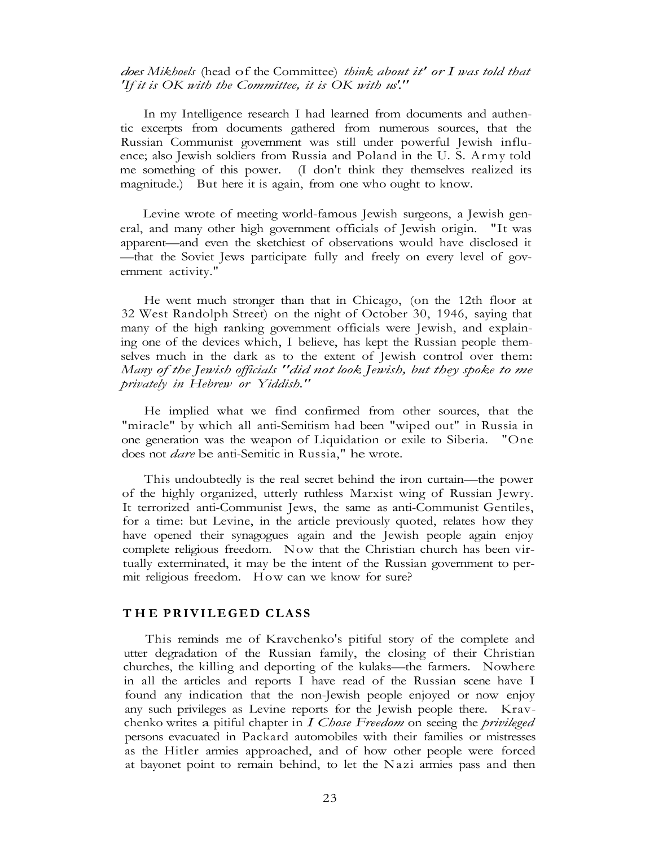#### *does Mikhoels* (head of the Committee) *think about it' or I was told that 'If it is OK with the Committee, it is OK with us'."*

In my Intelligence research I had learned from documents and authentic excerpts from documents gathered from numerous sources, that the Russian Communist government was still under powerful Jewish influence; also Jewish soldiers from Russia and Poland in the U. S. Army told me something of this power. (I don't think they themselves realized its magnitude.) But here it is again, from one who ought to know.

Levine wrote of meeting world-famous Jewish surgeons, a Jewish general, and many other high government officials of Jewish origin. "It was apparent—and even the sketchiest of observations would have disclosed it —that the Soviet Jews participate fully and freely on every level of government activity."

He went much stronger than that in Chicago, (on the 12th floor at 32 West Randolph Street) on the night of October 30, 1946, saying that many of the high ranking government officials were Jewish, and explaining one of the devices which, I believe, has kept the Russian people themselves much in the dark as to the extent of Jewish control over them: *Many of the Jewish officials "did not look Jewish, but they spoke to me privately in Hebrew or Yiddish."* 

He implied what we find confirmed from other sources, that the "miracle" by which all anti-Semitism had been "wiped out" in Russia in one generation was the weapon of Liquidation or exile to Siberia. "One does not *dare* be anti-Semitic in Russia," he wrote.

This undoubtedly is the real secret behind the iron curtain—the power of the highly organized, utterly ruthless Marxist wing of Russian Jewry. It terrorized anti-Communist Jews, the same as anti-Communist Gentiles, for a time: but Levine, in the article previously quoted, relates how they have opened their synagogues again and the Jewish people again enjoy complete religious freedom. Now that the Christian church has been virtually exterminated, it may be the intent of the Russian government to permit religious freedom. How can we know for sure?

#### **T H E PRIVILEGED CLAS S**

This reminds me of Kravchenko's pitiful story of the complete and utter degradation of the Russian family, the closing of their Christian churches, the killing and deporting of the kulaks—the farmers. Nowhere in all the articles and reports I have read of the Russian scene have I found any indication that the non-Jewish people enjoyed or now enjoy any such privileges as Levine reports for the Jewish people there. Kravchenko writes a pitiful chapter in *I Chose Freedom* on seeing the *privileged*  persons evacuated in Packard automobiles with their families or mistresses as the Hitler armies approached, and of how other people were forced at bayonet point to remain behind, to let the Nazi armies pass and then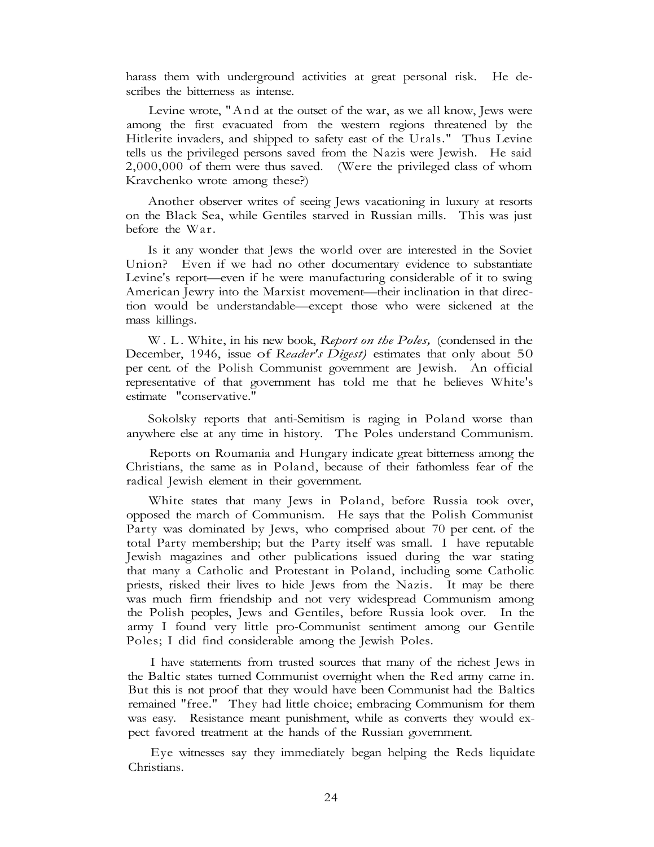harass them with underground activities at great personal risk. He describes the bitterness as intense.

Levine wrote, "And at the outset of the war, as we all know, Jews were among the first evacuated from the western regions threatened by the Hitlerite invaders, and shipped to safety east of the Urals." Thus Levine tells us the privileged persons saved from the Nazis were Jewish. He said 2,000,000 of them were thus saved. (Were the privileged class of whom Kravchenko wrote among these?)

Another observer writes of seeing Jews vacationing in luxury at resorts on the Black Sea, while Gentiles starved in Russian mills. This was just before the War.

Is it any wonder that Jews the world over are interested in the Soviet Union? Even if we had no other documentary evidence to substantiate Levine's report—even if he were manufacturing considerable of it to swing American Jewry into the Marxist movement—their inclination in that direction would be understandable—except those who were sickened at the mass killings.

W . L . White, in his new book, *Report on the Poles,* (condensed in the December, 1946, issue of *Reader's Digest)* estimates that only about 50 per cent. of the Polish Communist government are Jewish. An official representative of that government has told me that he believes White's estimate "conservative."

Sokolsky reports that anti-Semitism is raging in Poland worse than anywhere else at any time in history. The Poles understand Communism.

Reports on Roumania and Hungary indicate great bitterness among the Christians, the same as in Poland, because of their fathomless fear of the radical Jewish element in their government.

White states that many Jews in Poland, before Russia took over, opposed the march of Communism. He says that the Polish Communist Party was dominated by Jews, who comprised about 70 per cent. of the total Party membership; but the Party itself was small. I have reputable Jewish magazines and other publications issued during the war stating that many a Catholic and Protestant in Poland, including some Catholic priests, risked their lives to hide Jews from the Nazis. It may be there was much firm friendship and not very widespread Communism among the Polish peoples, Jews and Gentiles, before Russia look over. In the army I found very little pro-Communist sentiment among our Gentile Poles; I did find considerable among the Jewish Poles.

I have statements from trusted sources that many of the richest Jews in the Baltic states turned Communist overnight when the Red army came in. But this is not proof that they would have been Communist had the Baltics remained "free." They had little choice; embracing Communism for them was easy. Resistance meant punishment, while as converts they would expect favored treatment at the hands of the Russian government.

Eye witnesses say they immediately began helping the Reds liquidate Christians.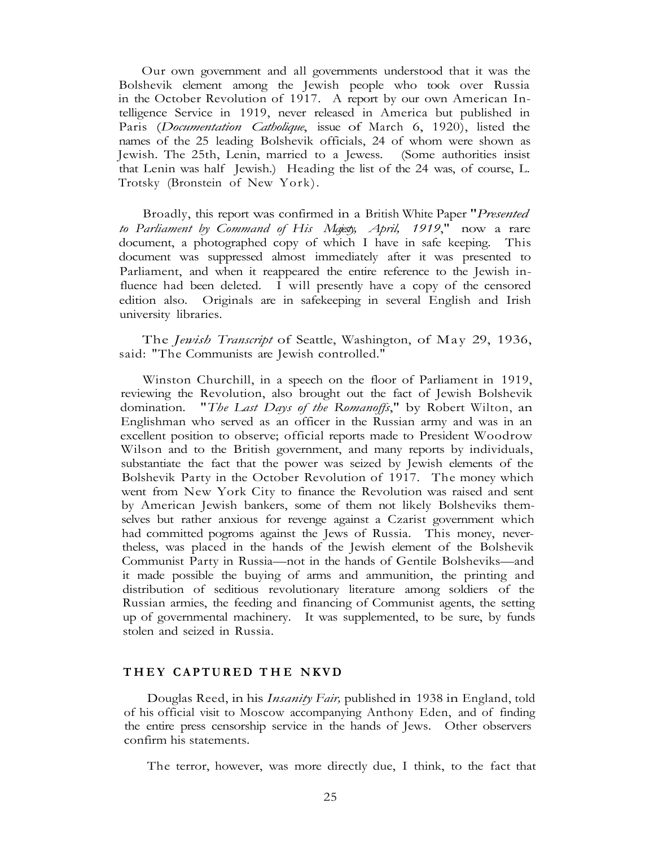Our own government and all governments understood that it was the Bolshevik element among the Jewish people who took over Russia in the October Revolution of 1917. A report by our own American Intelligence Service in 1919, never released in America but published in Paris (*Documentation Catholique*, issue of March 6, 1920), listed the names of the 25 leading Bolshevik officials, 24 of whom were shown as Jewish. The 25th, Lenin, married to a Jewess. (Some authorities insist that Lenin was half Jewish.) Heading the list of the 24 was, of course, L. Trotsky (Bronstein of New York).

Broadly, this report was confirmed in a British White Paper "*Presented to Parliament by Command of His Majesty, April, 1919*," now a rare document, a photographed copy of which I have in safe keeping. This document was suppressed almost immediately after it was presented to Parliament, and when it reappeared the entire reference to the Jewish influence had been deleted. I will presently have a copy of the censored edition also. Originals are in safekeeping in several English and Irish university libraries.

The *Jewish Transcript* of Seattle, Washington, of May 29, 1936, said: "The Communists are Jewish controlled."

Winston Churchill, in a speech on the floor of Parliament in 1919, reviewing the Revolution, also brought out the fact of Jewish Bolshevik domination. "*The Last Days of the Romanoffs*," by Robert Wilton, an Englishman who served as an officer in the Russian army and was in an excellent position to observe; official reports made to President Woodrow Wilson and to the British government, and many reports by individuals, substantiate the fact that the power was seized by Jewish elements of the Bolshevik Party in the October Revolution of 1917. The money which went from New York City to finance the Revolution was raised and sent by American Jewish bankers, some of them not likely Bolsheviks themselves but rather anxious for revenge against a Czarist government which had committed pogroms against the Jews of Russia. This money, nevertheless, was placed in the hands of the Jewish element of the Bolshevik Communist Party in Russia—not in the hands of Gentile Bolsheviks—and it made possible the buying of arms and ammunition, the printing and distribution of seditious revolutionary literature among soldiers of the Russian armies, the feeding and financing of Communist agents, the setting up of governmental machinery. It was supplemented, to be sure, by funds stolen and seized in Russia.

#### **THE Y CAPTURE D TH E NKV D**

Douglas Reed, in his *Insanity Fair,* published in 1938 in England, told of his official visit to Moscow accompanying Anthony Eden, and of finding the entire press censorship service in the hands of Jews. Other observers confirm his statements.

The terror, however, was more directly due, I think, to the fact that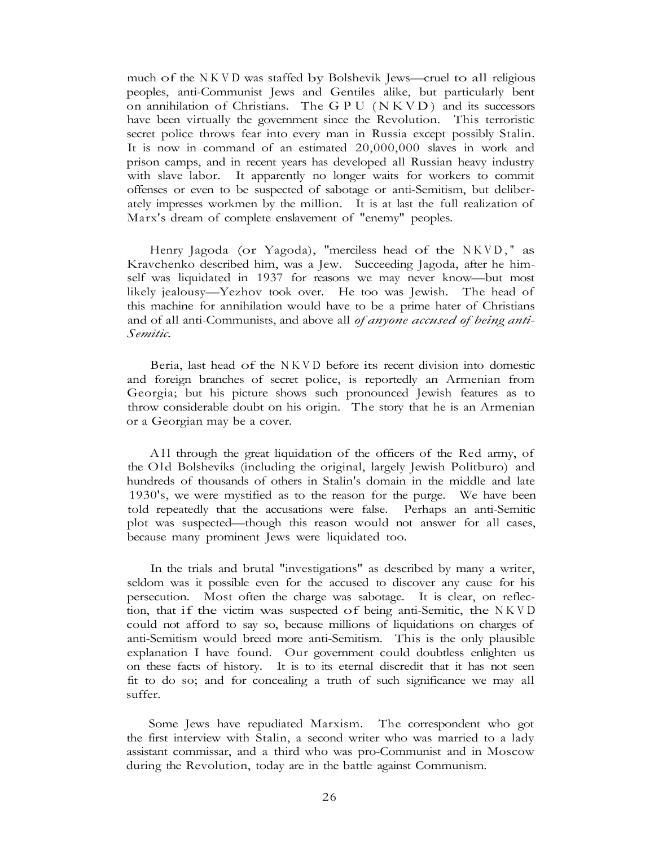much of the NKV D was staffed by Bolshevik Jews—cruel to all religious peoples, anti-Communist Jews and Gentiles alike, but particularly bent on annihilation of Christians. The GPU ( $N K V D$ ) and its successors have been virtually the government since the Revolution. This terroristic secret police throws fear into every man in Russia except possibly Stalin. It is now in command of an estimated 20,000,000 slaves in work and prison camps, and in recent years has developed all Russian heavy industry with slave labor. It apparently no longer waits for workers to commit offenses or even to be suspected of sabotage or anti-Semitism, but deliberately impresses workmen by the million. It is at last the full realization of Marx's dream of complete enslavement of "enemy" peoples.

Henry Jagoda (or Yagoda), "merciless head of the NKVD, " as Kravchenko described him, was a Jew. Succeeding Jagoda, after he himself was liquidated in 1937 for reasons we may never know—but most likely jealousy—Yezhov took over. He too was Jewish. The head of this machine for annihilation would have to be a prime hater of Christians and of all anti-Communists, and above all *of anyone accused of being anti-Semitic.* 

Beria, last head of the NKV D before its recent division into domestic and foreign branches of secret police, is reportedly an Armenian from Georgia; but his picture shows such pronounced Jewish features as to throw considerable doubt on his origin. The story that he is an Armenian or a Georgian may be a cover.

All through the great liquidation of the officers of the Red army, of the Old Bolsheviks (including the original, largely Jewish Politburo) and hundreds of thousands of others in Stalin's domain in the middle and late 1930's, we were mystified as to the reason for the purge. We have been told repeatedly that the accusations were false. Perhaps an anti-Semitic plot was suspected—though this reason would not answer for all cases, because many prominent Jews were liquidated too.

In the trials and brutal "investigations" as described by many a writer, seldom was it possible even for the accused to discover any cause for his persecution. Most often the charge was sabotage. It is clear, on reflection, that if the victim was suspected of being anti-Semitic, the NKV <sup>D</sup> could not afford to say so, because millions of liquidations on charges of anti-Semitism would breed more anti-Semitism. This is the only plausible explanation I have found. Our government could doubtless enlighten us on these facts of history. It is to its eternal discredit that it has not seen fit to do so; and for concealing a truth of such significance we may all suffer.

Some Jews have repudiated Marxism. The correspondent who got the first interview with Stalin, a second writer who was married to a lady assistant commissar, and a third who was pro-Communist and in Moscow during the Revolution, today are in the battle against Communism.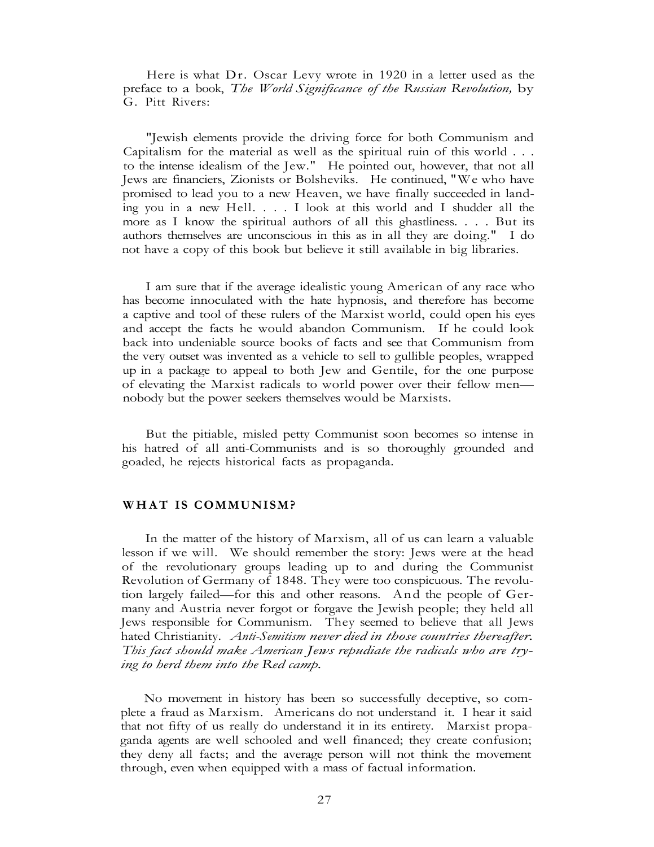Here is what Dr. Oscar Levy wrote in 1920 in a letter used as the preface to a book, *The World Significance of the Russian Revolution,* by G. Pitt Rivers:

"Jewish elements provide the driving force for both Communism and Capitalism for the material as well as the spiritual ruin of this world . . . to the intense idealism of the Jew." He pointed out, however, that not all Jews are financiers, Zionists or Bolsheviks. He continued, "We who have promised to lead you to a new Heaven, we have finally succeeded in landing you in a new Hell. . . . I look at this world and I shudder all the more as I know the spiritual authors of all this ghastliness. . . . But its authors themselves are unconscious in this as in all they are doing." I do not have a copy of this book but believe it still available in big libraries.

I am sure that if the average idealistic young American of any race who has become innoculated with the hate hypnosis, and therefore has become a captive and tool of these rulers of the Marxist world, could open his eyes and accept the facts he would abandon Communism. If he could look back into undeniable source books of facts and see that Communism from the very outset was invented as a vehicle to sell to gullible peoples, wrapped up in a package to appeal to both Jew and Gentile, for the one purpose of elevating the Marxist radicals to world power over their fellow men nobody but the power seekers themselves would be Marxists.

But the pitiable, misled petty Communist soon becomes so intense in his hatred of all anti-Communists and is so thoroughly grounded and goaded, he rejects historical facts as propaganda.

#### **WHAT IS COMMUNISM?**

In the matter of the history of Marxism, all of us can learn a valuable lesson if we will. We should remember the story: Jews were at the head of the revolutionary groups leading up to and during the Communist Revolution of Germany of 1848. They were too conspicuous. The revolution largely failed—for this and other reasons. And the people of Germany and Austria never forgot or forgave the Jewish people; they held all Jews responsible for Communism. They seemed to believe that all Jews hated Christianity. *Anti-Semitism never died in those countries thereafter. This fact should make American Jews repudiate the radicals who are trying to herd them into the Red camp.* 

No movement in history has been so successfully deceptive, so complete a fraud as Marxism. Americans do not understand it. I hear it said that not fifty of us really do understand it in its entirety. Marxist propaganda agents are well schooled and well financed; they create confusion; they deny all facts; and the average person will not think the movement through, even when equipped with a mass of factual information.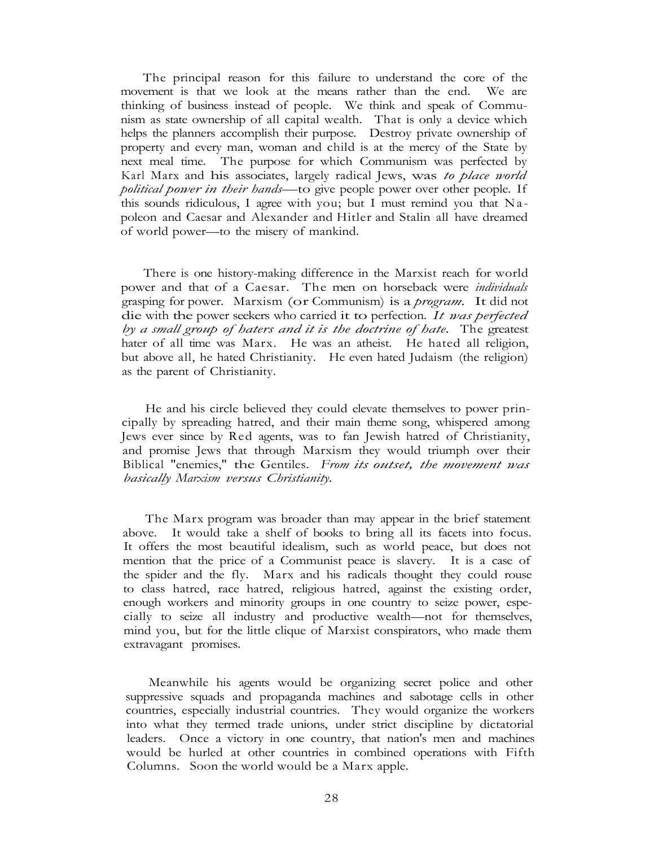The principal reason for this failure to understand the core of the movement is that we look at the means rather than the end. We are thinking of business instead of people. We think and speak of Communism as state ownership of all capital wealth. That is only a device which helps the planners accomplish their purpose. Destroy private ownership of property and every man, woman and child is at the mercy of the State by next meal time. The purpose for which Communism was perfected by Karl Marx and his associates, largely radical Jews, was *to place world political power in their hands*—to give people power over other people. If this sounds ridiculous, I agree with you; but I must remind you that  $Na$ poleon and Caesar and Alexander and Hitler and Stalin all have dreamed of world power—to the misery of mankind.

There is one history-making difference in the Marxist reach for world power and that of a Caesar. The men on horseback were *individuals*  grasping for power. Marxism (or Communism) is a *program.* It did not die with the power seekers who carried it to perfection. *It was perfected by a small group of haters and it is the doctrine of hate.* The greatest hater of all time was Marx. He was an atheist. He hated all religion, but above all, he hated Christianity. He even hated Judaism (the religion) as the parent of Christianity.

He and his circle believed they could elevate themselves to power principally by spreading hatred, and their main theme song, whispered among Jews ever since by Red agents, was to fan Jewish hatred of Christianity, and promise Jews that through Marxism they would triumph over their Biblical "enemies," the Gentiles. *From its outset, the movement was basically Marxism versus Christianity.* 

The Marx program was broader than may appear in the brief statement above. It would take a shelf of books to bring all its facets into focus. It offers the most beautiful idealism, such as world peace, but does not mention that the price of a Communist peace is slavery. It is a case of the spider and the fly. Marx and his radicals thought they could rouse to class hatred, race hatred, religious hatred, against the existing order, enough workers and minority groups in one country to seize power, especially to seize all industry and productive wealth—not for themselves, mind you, but for the little clique of Marxist conspirators, who made them extravagant promises.

Meanwhile his agents would be organizing secret police and other suppressive squads and propaganda machines and sabotage cells in other countries, especially industrial countries. They would organize the workers into what they termed trade unions, under strict discipline by dictatorial leaders. Once a victory in one country, that nation's men and machines would be hurled at other countries in combined operations with Fifth Columns. Soon the world would be a Marx apple.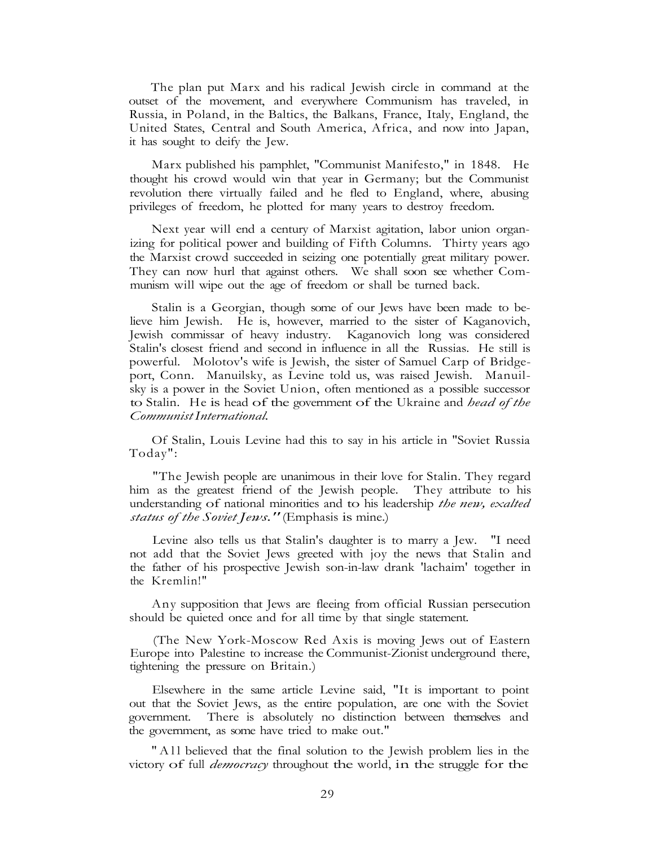The plan put Marx and his radical Jewish circle in command at the outset of the movement, and everywhere Communism has traveled, in Russia, in Poland, in the Baltics, the Balkans, France, Italy, England, the United States, Central and South America, Africa, and now into Japan, it has sought to deify the Jew.

Marx published his pamphlet, "Communist Manifesto," in 1848. He thought his crowd would win that year in Germany; but the Communist revolution there virtually failed and he fled to England, where, abusing privileges of freedom, he plotted for many years to destroy freedom.

Next year will end a century of Marxist agitation, labor union organizing for political power and building of Fifth Columns. Thirty years ago the Marxist crowd succeeded in seizing one potentially great military power. They can now hurl that against others. We shall soon see whether Communism will wipe out the age of freedom or shall be turned back.

Stalin is a Georgian, though some of our Jews have been made to believe him Jewish. He is, however, married to the sister of Kaganovich, Jewish commissar of heavy industry. Kaganovich long was considered Stalin's closest friend and second in influence in all the Russias. He still is powerful. Molotov's wife is Jewish, the sister of Samuel Carp of Bridgeport, Conn. Manuilsky, as Levine told us, was raised Jewish. Manuilsky is a power in the Soviet Union, often mentioned as a possible successor to Stalin. He is head of the government of the Ukraine and *head of the Communist International.* 

Of Stalin, Louis Levine had this to say in his article in "Soviet Russia Today":

"The Jewish people are unanimous in their love for Stalin. They regard him as the greatest friend of the Jewish people. They attribute to his understanding of national minorities and to his leadership *the new, exalted status of the Soviet Jews."* (Emphasis is mine.)

Levine also tells us that Stalin's daughter is to marry a Jew. "I need not add that the Soviet Jews greeted with joy the news that Stalin and the father of his prospective Jewish son-in-law drank 'lachaim' together in the Kremlin!"

Any supposition that Jews are fleeing from official Russian persecution should be quieted once and for all time by that single statement.

(The New York-Moscow Red Axis is moving Jews out of Eastern Europe into Palestine to increase the Communist-Zionist underground there, tightening the pressure on Britain.)

Elsewhere in the same article Levine said, "It is important to point out that the Soviet Jews, as the entire population, are one with the Soviet government. There is absolutely no distinction between themselves and the government, as some have tried to make out."

"Al l believed that the final solution to the Jewish problem lies in the victory of full *democracy* throughout the world, in the struggle for the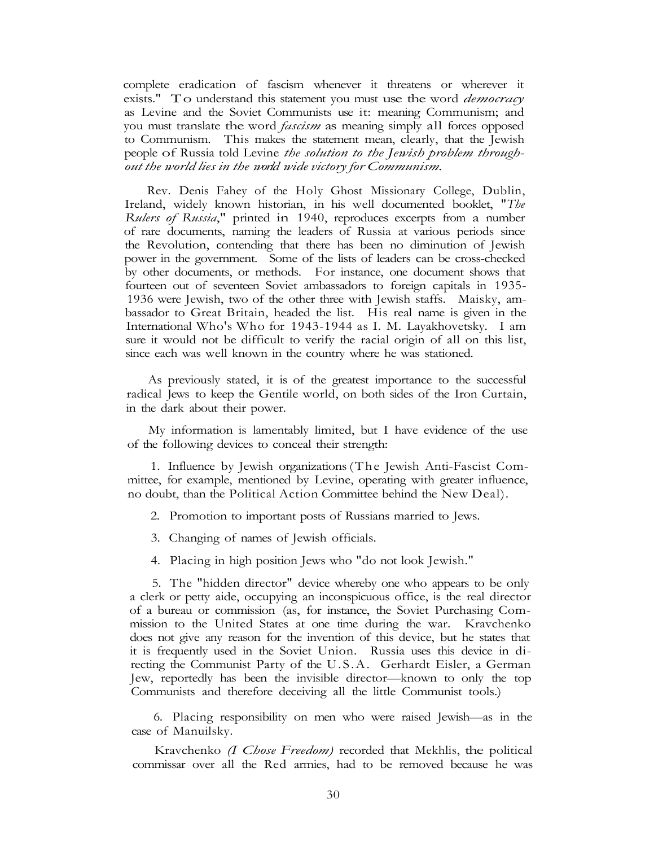complete eradication of fascism whenever it threatens or wherever it exists." To understand this statement you must use the word *democracy*  as Levine and the Soviet Communists use it: meaning Communism; and you must translate the word *fascism* as meaning simply all forces opposed to Communism. This makes the statement mean, clearly, that the Jewish people of Russia told Levine *the solution to the Jewish problem throughout the world lies in the world wide victory for Communism.* 

Rev. Denis Fahey of the Holy Ghost Missionary College, Dublin, Ireland, widely known historian, in his well documented booklet, "*The Rulers of Russia*," printed in 1940, reproduces excerpts from a number of rare documents, naming the leaders of Russia at various periods since the Revolution, contending that there has been no diminution of Jewish power in the government. Some of the lists of leaders can be cross-checked by other documents, or methods. For instance, one document shows that fourteen out of seventeen Soviet ambassadors to foreign capitals in 1935- 1936 were Jewish, two of the other three with Jewish staffs. Maisky, ambassador to Great Britain, headed the list. His real name is given in the International Who's Who for 1943-1944 as I. M. Layakhovetsky. I am sure it would not be difficult to verify the racial origin of all on this list, since each was well known in the country where he was stationed.

As previously stated, it is of the greatest importance to the successful radical Jews to keep the Gentile world, on both sides of the Iron Curtain, in the dark about their power.

My information is lamentably limited, but I have evidence of the use of the following devices to conceal their strength:

1. Influence by Jewish organizations (The Jewish Anti-Fascist Committee, for example, mentioned by Levine, operating with greater influence, no doubt, than the Political Action Committee behind the New Deal).

2. Promotion to important posts of Russians married to Jews.

3. Changing of names of Jewish officials.

4. Placing in high position Jews who "do not look Jewish."

5. The "hidden director" device whereby one who appears to be only a clerk or petty aide, occupying an inconspicuous office, is the real director of a bureau or commission (as, for instance, the Soviet Purchasing Commission to the United States at one time during the war. Kravchenko does not give any reason for the invention of this device, but he states that it is frequently used in the Soviet Union. Russia uses this device in directing the Communist Party of the U.S.A. Gerhardt Eisler, a German Jew, reportedly has been the invisible director—known to only the top Communists and therefore deceiving all the little Communist tools.)

6. Placing responsibility on men who were raised Jewish—as in the case of Manuilsky.

Kravchenko *(I Chose Freedom)* recorded that Mekhlis, the political commissar over all the Red armies, had to be removed because he was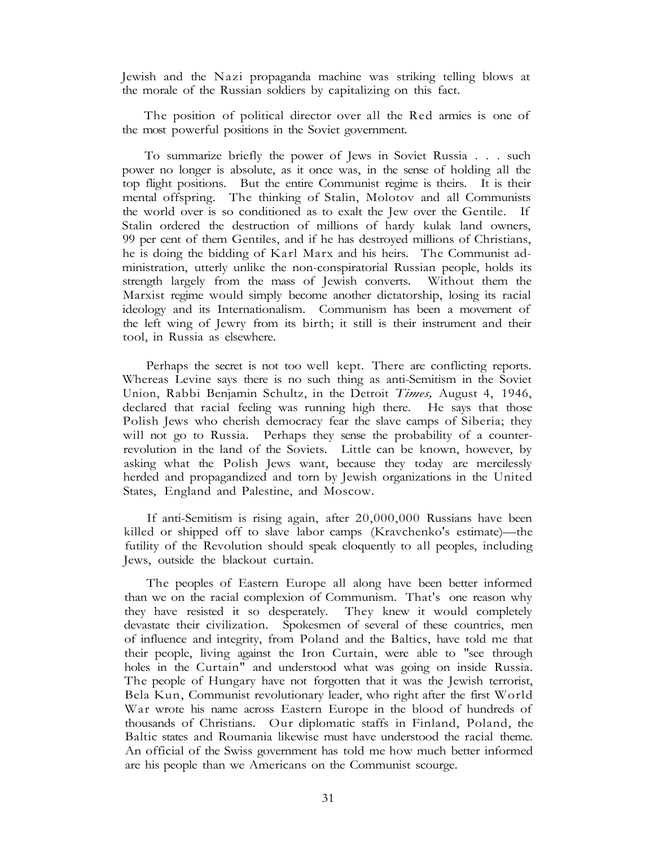Jewish and the Nazi propaganda machine was striking telling blows at the morale of the Russian soldiers by capitalizing on this fact.

The position of political director over all the Red armies is one of the most powerful positions in the Soviet government.

To summarize briefly the power of Jews in Soviet Russia . . . such power no longer is absolute, as it once was, in the sense of holding all the top flight positions. But the entire Communist regime is theirs. It is their mental offspring. The thinking of Stalin, Molotov and all Communists the world over is so conditioned as to exalt the Jew over the Gentile. If Stalin ordered the destruction of millions of hardy kulak land owners, 99 per cent of them Gentiles, and if he has destroyed millions of Christians, he is doing the bidding of Karl Marx and his heirs. The Communist administration, utterly unlike the non-conspiratorial Russian people, holds its strength largely from the mass of Jewish converts. Without them the Marxist regime would simply become another dictatorship, losing its racial ideology and its Internationalism. Communism has been a movement of the left wing of Jewry from its birth; it still is their instrument and their tool, in Russia as elsewhere.

Perhaps the secret is not too well kept. There are conflicting reports. Whereas Levine says there is no such thing as anti-Semitism in the Soviet Union, Rabbi Benjamin Schultz, in the Detroit *Times,* August 4, 1946, declared that racial feeling was running high there. He says that those Polish Jews who cherish democracy fear the slave camps of Siberia; they will not go to Russia. Perhaps they sense the probability of a counterrevolution in the land of the Soviets. Little can be known, however, by asking what the Polish Jews want, because they today are mercilessly herded and propagandized and torn by Jewish organizations in the United States, England and Palestine, and Moscow.

If anti-Semitism is rising again, after 20,000,000 Russians have been killed or shipped off to slave labor camps (Kravchenko's estimate)—the futility of the Revolution should speak eloquently to all peoples, including Jews, outside the blackout curtain.

The peoples of Eastern Europe all along have been better informed than we on the racial complexion of Communism. That's one reason why they have resisted it so desperately. They knew it would completely devastate their civilization. Spokesmen of several of these countries, men of influence and integrity, from Poland and the Baltics, have told me that their people, living against the Iron Curtain, were able to "see through holes in the Curtain" and understood what was going on inside Russia. The people of Hungary have not forgotten that it was the Jewish terrorist, Bela Kun, Communist revolutionary leader, who right after the first World War wrote his name across Eastern Europe in the blood of hundreds of thousands of Christians. Our diplomatic staffs in Finland, Poland, the Baltic states and Roumania likewise must have understood the racial theme. An official of the Swiss government has told me how much better informed are his people than we Americans on the Communist scourge.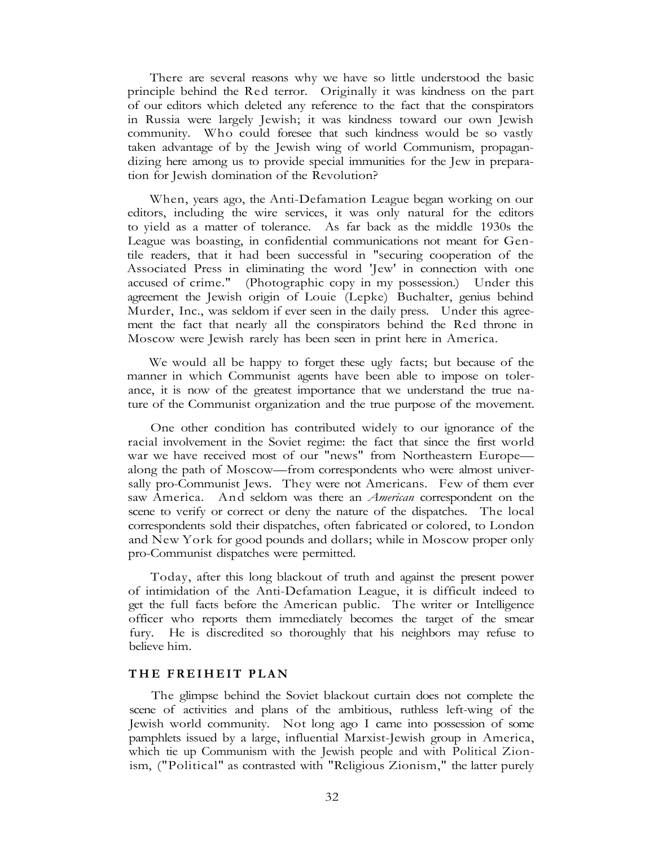There are several reasons why we have so little understood the basic principle behind the Red terror. Originally it was kindness on the part of our editors which deleted any reference to the fact that the conspirators in Russia were largely Jewish; it was kindness toward our own Jewish community. Who could foresee that such kindness would be so vastly taken advantage of by the Jewish wing of world Communism, propagandizing here among us to provide special immunities for the Jew in preparation for Jewish domination of the Revolution?

When, years ago, the Anti-Defamation League began working on our editors, including the wire services, it was only natural for the editors to yield as a matter of tolerance. As far back as the middle 1930s the League was boasting, in confidential communications not meant for Gentile readers, that it had been successful in "securing cooperation of the Associated Press in eliminating the word 'Jew' in connection with one accused of crime." (Photographic copy in my possession.) Under this agreement the Jewish origin of Louie (Lepke) Buchalter, genius behind Murder, Inc., was seldom if ever seen in the daily press. Under this agreement the fact that nearly all the conspirators behind the Red throne in Moscow were Jewish rarely has been seen in print here in America.

We would all be happy to forget these ugly facts; but because of the manner in which Communist agents have been able to impose on tolerance, it is now of the greatest importance that we understand the true nature of the Communist organization and the true purpose of the movement.

One other condition has contributed widely to our ignorance of the racial involvement in the Soviet regime: the fact that since the first world war we have received most of our "news" from Northeastern Europe along the path of Moscow—from correspondents who were almost universally pro-Communist Jews. They were not Americans. Few of them ever saw America. And seldom was there an *American* correspondent on the scene to verify or correct or deny the nature of the dispatches. The local correspondents sold their dispatches, often fabricated or colored, to London and New York for good pounds and dollars; while in Moscow proper only pro-Communist dispatches were permitted.

Today, after this long blackout of truth and against the present power of intimidation of the Anti-Defamation League, it is difficult indeed to get the full facts before the American public. The writer or Intelligence officer who reports them immediately becomes the target of the smear fury. He is discredited so thoroughly that his neighbors may refuse to believe him.

#### **T H E FREIHEIT PLA N**

The glimpse behind the Soviet blackout curtain does not complete the scene of activities and plans of the ambitious, ruthless left-wing of the Jewish world community. Not long ago I came into possession of some pamphlets issued by a large, influential Marxist-Jewish group in America, which tie up Communism with the Jewish people and with Political Zionism, ("Political" as contrasted with "Religious Zionism," the latter purely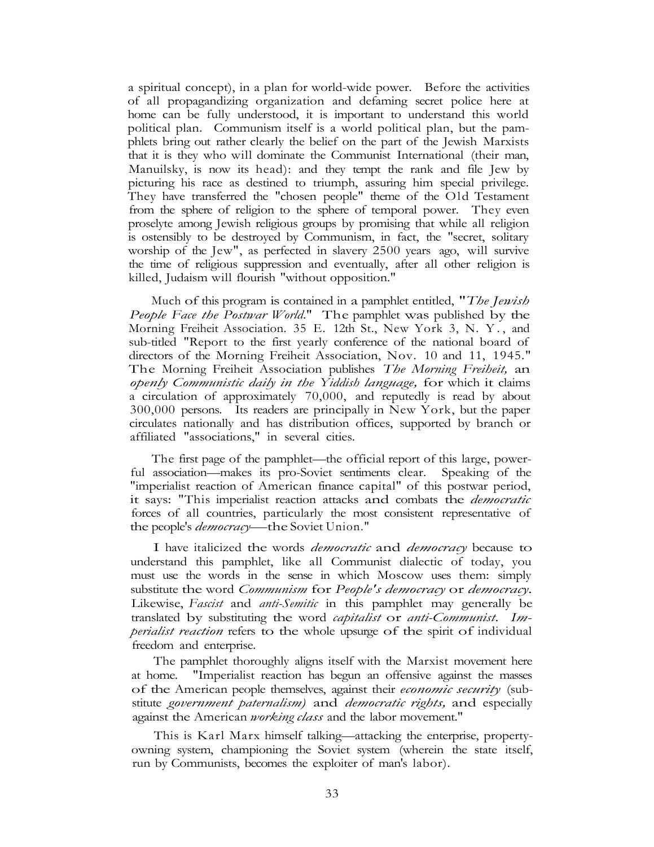a spiritual concept), in a plan for world-wide power. Before the activities of all propagandizing organization and defaming secret police here at home can be fully understood, it is important to understand this world political plan. Communism itself is a world political plan, but the pamphlets bring out rather clearly the belief on the part of the Jewish Marxists that it is they who will dominate the Communist International (their man, Manuilsky, is now its head): and they tempt the rank and file Jew by picturing his race as destined to triumph, assuring him special privilege. They have transferred the "chosen people" theme of the Old Testament from the sphere of religion to the sphere of temporal power. They even proselyte among Jewish religious groups by promising that while all religion is ostensibly to be destroyed by Communism, in fact, the "secret, solitary worship of the Jew", as perfected in slavery 2500 years ago, will survive the time of religious suppression and eventually, after all other religion is killed, Judaism will flourish "without opposition."

Much of this program is contained in a pamphlet entitled, "*The Jewish People Face the Postwar World*." The pamphlet was published by the Morning Freiheit Association. 35 E. 12th St., New York 3, N. Y. , and sub-titled "Report to the first yearly conference of the national board of directors of the Morning Freiheit Association, Nov. 10 and 11, 1945." The Morning Freiheit Association publishes *The Morning Freiheit,* an *openly Communistic daily in the Yiddish language,* for which it claims a circulation of approximately 70,000, and reputedly is read by about 300,000 persons. Its readers are principally in New York, but the paper circulates nationally and has distribution offices, supported by branch or affiliated "associations," in several cities.

The first page of the pamphlet—the official report of this large, powerful association—makes its pro-Soviet sentiments clear. Speaking of the "imperialist reaction of American finance capital" of this postwar period, it says: "This imperialist reaction attacks and combats the *democratic*  forces of all countries, particularly the most consistent representative of the people's *democracy*—the Soviet Union."

I have italicized the words *democratic* and *democracy* because to understand this pamphlet, like all Communist dialectic of today, you must use the words in the sense in which Moscow uses them: simply substitute the word *Communism* for *People's democracy* or *democracy.*  Likewise, *Fascist* and *anti-Semitic* in this pamphlet may generally be translated by substituting the word *capitalist* or *anti-Communist*. *Imperialist reaction* refers to the whole upsurge of the spirit of individual freedom and enterprise.

The pamphlet thoroughly aligns itself with the Marxist movement here at home. "Imperialist reaction has begun an offensive against the masses of the American people themselves, against their *economic security* (substitute *government paternalism)* and *democratic rights,* and especially against the American *working class* and the labor movement."

This is Karl Marx himself talking—attacking the enterprise, propertyowning system, championing the Soviet system (wherein the state itself, run by Communists, becomes the exploiter of man's labor).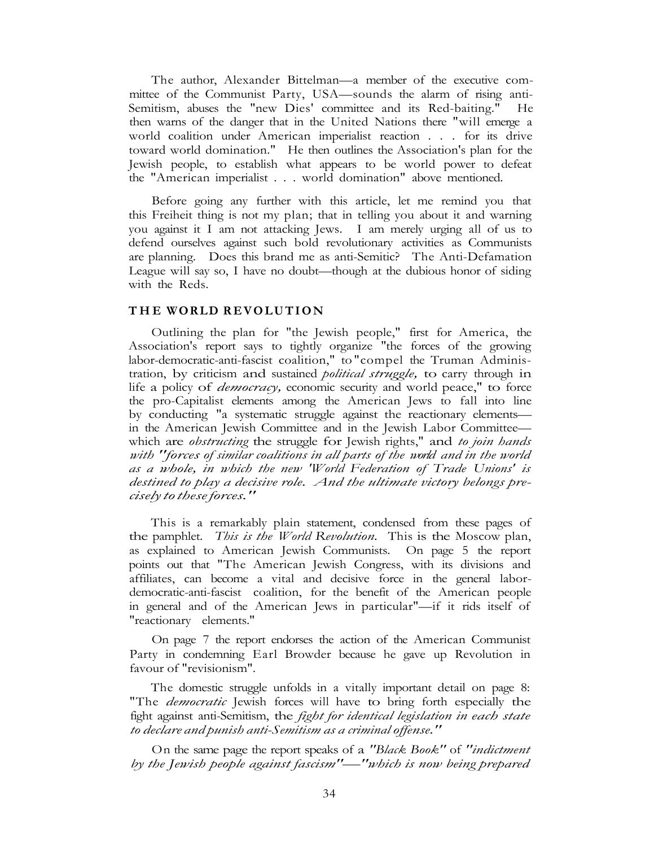The author, Alexander Bittelman—a member of the executive committee of the Communist Party, USA—sounds the alarm of rising anti-Semitism, abuses the "new Dies' committee and its Red-baiting." He then warns of the danger that in the United Nations there "will emerge a world coalition under American imperialist reaction . . . for its drive toward world domination." He then outlines the Association's plan for the Jewish people, to establish what appears to be world power to defeat the "American imperialist . . . world domination" above mentioned.

Before going any further with this article, let me remind you that this Freiheit thing is not my plan; that in telling you about it and warning you against it I am not attacking Jews. I am merely urging all of us to defend ourselves against such bold revolutionary activities as Communists are planning. Does this brand me as anti-Semitic? The Anti-Defamation League will say so, I have no doubt—though at the dubious honor of siding with the Reds.

#### **T H E WORLD REVOLUTIO N**

Outlining the plan for "the Jewish people," first for America, the Association's report says to tightly organize "the forces of the growing labor-democratic-anti-fascist coalition," to "compel the Truman Administration, by criticism and sustained *political struggle,* to carry through in life a policy of *democracy,* economic security and world peace," to force the pro-Capitalist elements among the American Jews to fall into line by conducting "a systematic struggle against the reactionary elements in the American Jewish Committee and in the Jewish Labor Committee which are *obstructing* the struggle for Jewish rights," and *to join hands with "forces of similar coalitions in all parts of the world and in the world as a whole, in which the new 'World Federation of Trade Unions' is destined to play a decisive role. And the ultimate victory belongs precisely to these forces."* 

This is a remarkably plain statement, condensed from these pages of the pamphlet. *This is the World Revolution.* This is the Moscow plan, as explained to American Jewish Communists. On page 5 the report points out that "The American Jewish Congress, with its divisions and affiliates, can become a vital and decisive force in the general labordemocratic-anti-fascist coalition, for the benefit of the American people in general and of the American Jews in particular"—if it rids itself of "reactionary elements."

On page 7 the report endorses the action of the American Communist Party in condemning Earl Browder because he gave up Revolution in favour of "revisionism".

The domestic struggle unfolds in a vitally important detail on page 8: "The *democratic* Jewish forces will have to bring forth especially the fight against anti-Semitism, the *fight for identical legislation in each state to declare and punish anti-Semitism as a criminal offense."* 

On the same page the report speaks of a *"Black Book"* of *"indictment by the Jewish people against fascism"—"which is now being prepared*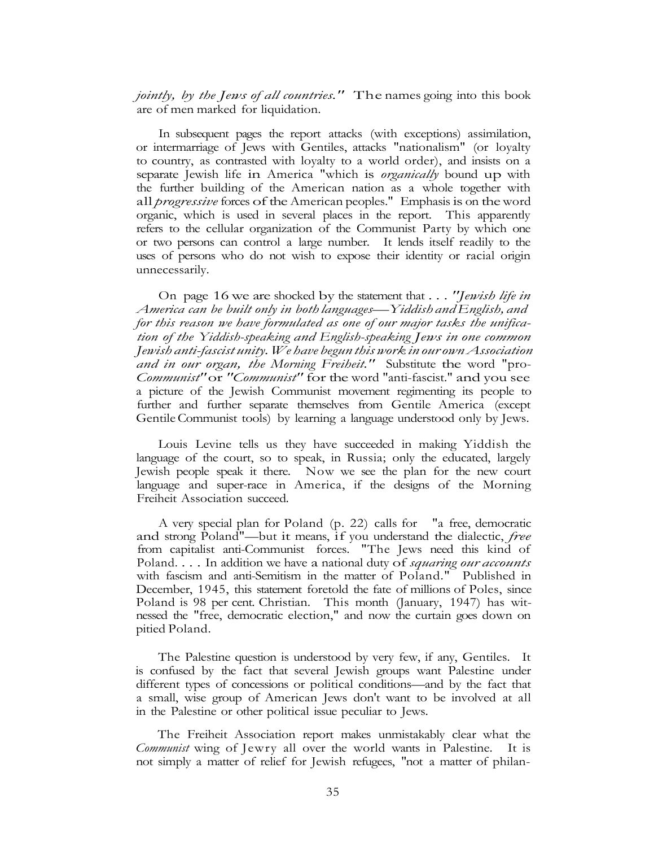*jointly, by the Jews of all countries.*" The names going into this book are of men marked for liquidation.

In subsequent pages the report attacks (with exceptions) assimilation, or intermarriage of Jews with Gentiles, attacks "nationalism" (or loyalty to country, as contrasted with loyalty to a world order), and insists on a separate Jewish life in America "which is *organically* bound up with the further building of the American nation as a whole together with all *progressive* forces of the American peoples." Emphasis is on the word organic, which is used in several places in the report. This apparently refers to the cellular organization of the Communist Party by which one or two persons can control a large number. It lends itself readily to the uses of persons who do not wish to expose their identity or racial origin unnecessarily.

On page 16 we are shocked by the statement that . . . *"Jewish life in America can be built only in both languages—Yiddish and English, and for this reason we have formulated as one of our major tasks the unification of the Yiddish-speaking and English-speaking Jews in one common Jewish anti-fascist unity. We have begun this work in our own Association and in our organ, the Morning Freiheit."* Substitute the word "pro-*Communist"* or *"Communist"* for the word "anti-fascist." and you see a picture of the Jewish Communist movement regimenting its people to further and further separate themselves from Gentile America (except Gentile Communist tools) by learning a language understood only by Jews.

Louis Levine tells us they have succeeded in making Yiddish the language of the court, so to speak, in Russia; only the educated, largely Jewish people speak it there. Now we see the plan for the new court language and super-race in America, if the designs of the Morning Freiheit Association succeed.

A very special plan for Poland (p. 22) calls for "a free, democratic and strong Poland"—but it means, if you understand the dialectic, *free*  from capitalist anti-Communist forces. "The Jews need this kind of Poland. . . . In addition we have a national duty of *squaring our accounts*  with fascism and anti-Semitism in the matter of Poland." Published in December, 1945, this statement foretold the fate of millions of Poles, since Poland is 98 per cent. Christian. This month (January, 1947) has witnessed the "free, democratic election," and now the curtain goes down on pitied Poland.

The Palestine question is understood by very few, if any, Gentiles. It is confused by the fact that several Jewish groups want Palestine under different types of concessions or political conditions—and by the fact that a small, wise group of American Jews don't want to be involved at all in the Palestine or other political issue peculiar to Jews.

The Freiheit Association report makes unmistakably clear what the *Communist* wing of Jewry all over the world wants in Palestine. It is not simply a matter of relief for Jewish refugees, "not a matter of philan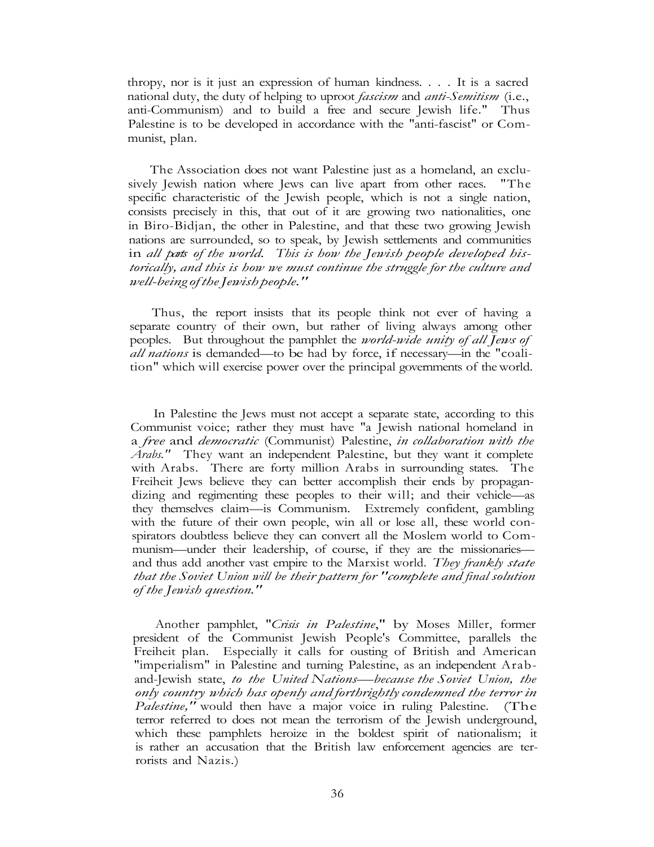thropy, nor is it just an expression of human kindness. . . . It is a sacred national duty, the duty of helping to uproot *fascism* and *anti-Semitism* (i.e., anti-Communism) and to build a free and secure Jewish life." Thus Palestine is to be developed in accordance with the "anti-fascist" or Communist, plan.

The Association does not want Palestine just as a homeland, an exclusively Jewish nation where Jews can live apart from other races. "The specific characteristic of the Jewish people, which is not a single nation, consists precisely in this, that out of it are growing two nationalities, one in Biro-Bidjan, the other in Palestine, and that these two growing Jewish nations are surrounded, so to speak, by Jewish settlements and communities in *all parts of the world. This is how the Jewish people developed historically, and this is how we must continue the struggle for the culture and well-being of the Jewish people."* 

Thus, the report insists that its people think not ever of having a separate country of their own, but rather of living always among other peoples. But throughout the pamphlet the *world-wide unity of all Jews of all nations* is demanded—to be had by force, if necessary—in the "coalition" which will exercise power over the principal governments of the world.

In Palestine the Jews must not accept a separate state, according to this Communist voice; rather they must have "a Jewish national homeland in a *free* and *democratic* (Communist) Palestine, *in collaboration with the Arabs."* They want an independent Palestine, but they want it complete with Arabs. There are forty million Arabs in surrounding states. The Freiheit Jews believe they can better accomplish their ends by propagandizing and regimenting these peoples to their will; and their vehicle—as they themselves claim—is Communism. Extremely confident, gambling with the future of their own people, win all or lose all, these world conspirators doubtless believe they can convert all the Moslem world to Communism—under their leadership, of course, if they are the missionaries and thus add another vast empire to the Marxist world. *They frankly state that the Soviet Union will be their pattern for "complete and final solution of the Jewish question."* 

Another pamphlet, "*Crisis in Palestine*," by Moses Miller, former president of the Communist Jewish People's Committee, parallels the Freiheit plan. Especially it calls for ousting of British and American "imperialism" in Palestine and turning Palestine, as an independent Araband-Jewish state, *to the United Nations*—*because the Soviet Union, the only country which has openly and forthrightly condemned the terror in Palestine,"* would then have a major voice in ruling Palestine. (The terror referred to does not mean the terrorism of the Jewish underground, which these pamphlets heroize in the boldest spirit of nationalism; it is rather an accusation that the British law enforcement agencies are terrorists and Nazis.)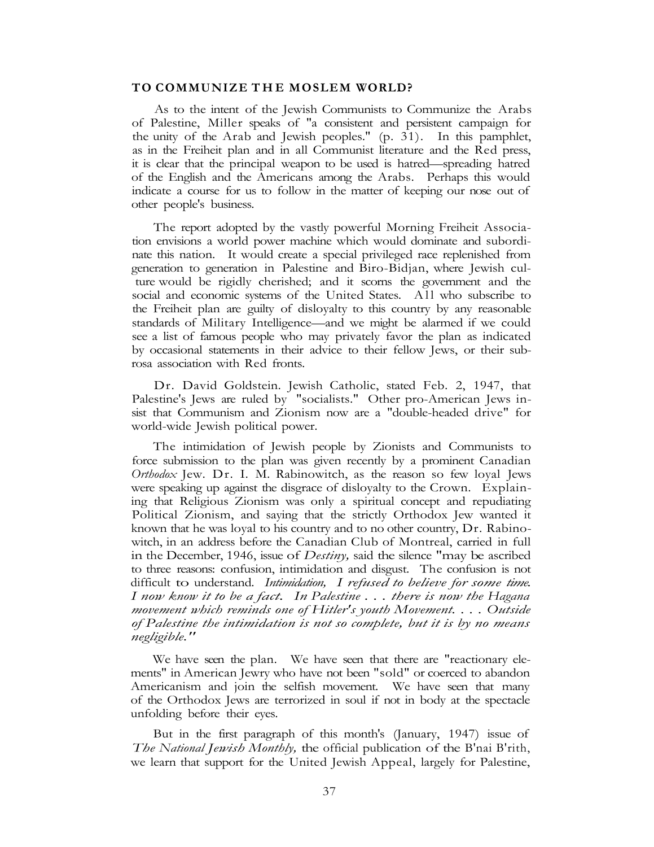#### **TO COMMUNIZE THE MOSLEM WORLD?**

As to the intent of the Jewish Communists to Communize the Arabs of Palestine, Miller speaks of "a consistent and persistent campaign for the unity of the Arab and Jewish peoples." (p. 31). In this pamphlet, as in the Freiheit plan and in all Communist literature and the Red press, it is clear that the principal weapon to be used is hatred—spreading hatred of the English and the Americans among the Arabs. Perhaps this would indicate a course for us to follow in the matter of keeping our nose out of other people's business.

The report adopted by the vastly powerful Morning Freiheit Association envisions a world power machine which would dominate and subordinate this nation. It would create a special privileged race replenished from generation to generation in Palestine and Biro-Bidjan, where Jewish culture would be rigidly cherished; and it scorns the government and the social and economic systems of the United States. All who subscribe to the Freiheit plan are guilty of disloyalty to this country by any reasonable standards of Military Intelligence—and we might be alarmed if we could see a list of famous people who may privately favor the plan as indicated by occasional statements in their advice to their fellow Jews, or their subrosa association with Red fronts.

Dr. David Goldstein. Jewish Catholic, stated Feb. 2, 1947, that Palestine's Jews are ruled by "socialists." Other pro-American Jews insist that Communism and Zionism now are a "double-headed drive" for world-wide Jewish political power.

The intimidation of Jewish people by Zionists and Communists to force submission to the plan was given recently by a prominent Canadian *Orthodox* Jew. Dr. I. M. Rabinowitch, as the reason so few loyal Jews were speaking up against the disgrace of disloyalty to the Crown. Explaining that Religious Zionism was only a spiritual concept and repudiating Political Zionism, and saying that the strictly Orthodox Jew wanted it known that he was loyal to his country and to no other country, Dr. Rabinowitch, in an address before the Canadian Club of Montreal, carried in full in the December, 1946, issue of *Destiny,* said the silence "may be ascribed to three reasons: confusion, intimidation and disgust. The confusion is not difficult to understand. *Intimidation, I refused to believe for some time. I now know it to be a fact. In Palestine . . . there is now the Hagana movement which reminds one of Hitler's youth Movement. . . . Outside of Palestine the intimidation is not so complete, but it is by no means negligible."* 

We have seen the plan. We have seen that there are "reactionary elements" in American Jewry who have not been "sold" or coerced to abandon Americanism and join the selfish movement. We have seen that many of the Orthodox Jews are terrorized in soul if not in body at the spectacle unfolding before their eyes.

But in the first paragraph of this month's (January, 1947) issue of *The National Jewish Monthly,* the official publication of the B'nai B'rith, we learn that support for the United Jewish Appeal, largely for Palestine,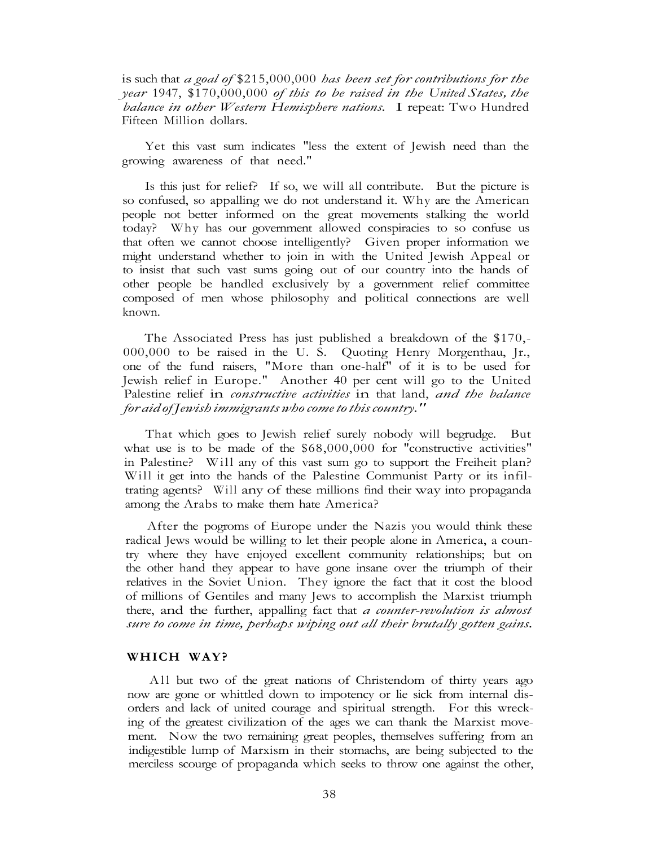is such that *a goal of* \$215,000,000 *has been set for contributions for the year* 1947, \$170,000,000 *of this to be raised in the United States, the balance in other Western Hemisphere nations.* I repeat: Two Hundred Fifteen Million dollars.

Yet this vast sum indicates "less the extent of Jewish need than the growing awareness of that need."

Is this just for relief? If so, we will all contribute. But the picture is so confused, so appalling we do not understand it. Why are the American people not better informed on the great movements stalking the world today? Why has our government allowed conspiracies to so confuse us that often we cannot choose intelligently? Given proper information we might understand whether to join in with the United Jewish Appeal or to insist that such vast sums going out of our country into the hands of other people be handled exclusively by a government relief committee composed of men whose philosophy and political connections are well known.

The Associated Press has just published a breakdown of the \$170,- 000,000 to be raised in the U. S. Quoting Henry Morgenthau, Jr., one of the fund raisers, "More than one-half" of it is to be used for Jewish relief in Europe." Another 40 per cent will go to the United Palestine relief in *constructive activities* in that land, *and the balance for aid of Jewish immigrants who come to this country."* 

That which goes to Jewish relief surely nobody will begrudge. But what use is to be made of the \$68,000,000 for "constructive activities" in Palestine? Will any of this vast sum go to support the Freiheit plan? Will it get into the hands of the Palestine Communist Party or its infiltrating agents? Will any of these millions find their way into propaganda among the Arabs to make them hate America?

After the pogroms of Europe under the Nazis you would think these radical Jews would be willing to let their people alone in America, a country where they have enjoyed excellent community relationships; but on the other hand they appear to have gone insane over the triumph of their relatives in the Soviet Union. They ignore the fact that it cost the blood of millions of Gentiles and many Jews to accomplish the Marxist triumph there, and the further, appalling fact that *a counter-revolution is almost sure to come in time, perhaps wiping out all their brutally gotten gains.* 

#### **WHICH WAY?**

All but two of the great nations of Christendom of thirty years ago now are gone or whittled down to impotency or lie sick from internal disorders and lack of united courage and spiritual strength. For this wrecking of the greatest civilization of the ages we can thank the Marxist movement. Now the two remaining great peoples, themselves suffering from an indigestible lump of Marxism in their stomachs, are being subjected to the merciless scourge of propaganda which seeks to throw one against the other,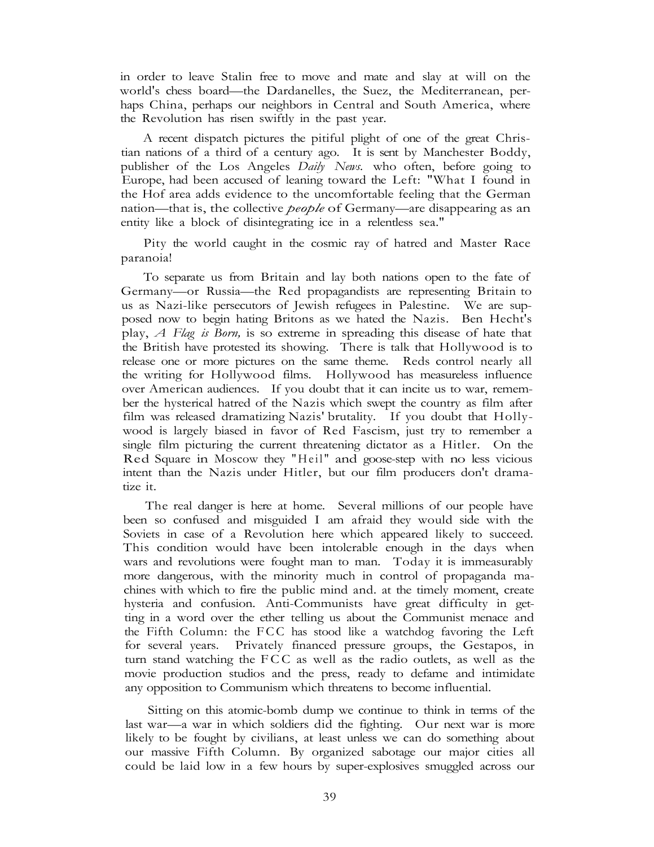in order to leave Stalin free to move and mate and slay at will on the world's chess board—the Dardanelles, the Suez, the Mediterranean, perhaps China, perhaps our neighbors in Central and South America, where the Revolution has risen swiftly in the past year.

A recent dispatch pictures the pitiful plight of one of the great Christian nations of a third of a century ago. It is sent by Manchester Boddy, publisher of the Los Angeles *Daily News*. who often, before going to Europe, had been accused of leaning toward the Left: "What I found in the Hof area adds evidence to the uncomfortable feeling that the German nation—that is, the collective *people* of Germany—are disappearing as an entity like a block of disintegrating ice in a relentless sea."

Pity the world caught in the cosmic ray of hatred and Master Race paranoia!

To separate us from Britain and lay both nations open to the fate of Germany—or Russia—the Red propagandists are representing Britain to us as Nazi-like persecutors of Jewish refugees in Palestine. We are supposed now to begin hating Britons as we hated the Nazis. Ben Hecht's play, *A Flag is Born,* is so extreme in spreading this disease of hate that the British have protested its showing. There is talk that Hollywood is to release one or more pictures on the same theme. Reds control nearly all the writing for Hollywood films. Hollywood has measureless influence over American audiences. If you doubt that it can incite us to war, remember the hysterical hatred of the Nazis which swept the country as film after film was released dramatizing Nazis' brutality. If you doubt that Hollywood is largely biased in favor of Red Fascism, just try to remember a single film picturing the current threatening dictator as a Hitler. On the Red Square in Moscow they "Heil" and goose-step with no less vicious intent than the Nazis under Hitler, but our film producers don't dramatize it.

The real danger is here at home. Several millions of our people have been so confused and misguided I am afraid they would side with the Soviets in case of a Revolution here which appeared likely to succeed. This condition would have been intolerable enough in the days when wars and revolutions were fought man to man. Today it is immeasurably more dangerous, with the minority much in control of propaganda machines with which to fire the public mind and. at the timely moment, create hysteria and confusion. Anti-Communists have great difficulty in getting in a word over the ether telling us about the Communist menace and the Fifth Column: the FCC has stood like a watchdog favoring the Left for several years. Privately financed pressure groups, the Gestapos, in turn stand watching the FCC as well as the radio outlets, as well as the movie production studios and the press, ready to defame and intimidate any opposition to Communism which threatens to become influential.

Sitting on this atomic-bomb dump we continue to think in terms of the last war—a war in which soldiers did the fighting. Our next war is more likely to be fought by civilians, at least unless we can do something about our massive Fifth Column. By organized sabotage our major cities all could be laid low in a few hours by super-explosives smuggled across our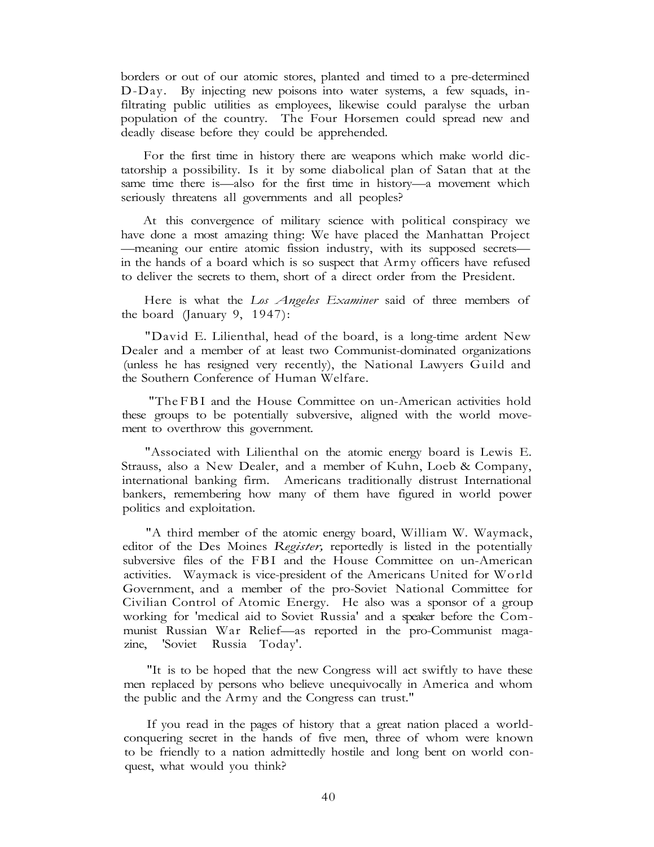borders or out of our atomic stores, planted and timed to a pre-determined D-Day. By injecting new poisons into water systems, a few squads, infiltrating public utilities as employees, likewise could paralyse the urban population of the country. The Four Horsemen could spread new and deadly disease before they could be apprehended.

For the first time in history there are weapons which make world dictatorship a possibility. Is it by some diabolical plan of Satan that at the same time there is—also for the first time in history—a movement which seriously threatens all governments and all peoples?

At this convergence of military science with political conspiracy we have done a most amazing thing: We have placed the Manhattan Project —meaning our entire atomic fission industry, with its supposed secrets in the hands of a board which is so suspect that Army officers have refused to deliver the secrets to them, short of a direct order from the President.

Here is what the *Los Angeles Examiner* said of three members of the board (January 9, 1947):

"David E. Lilienthal, head of the board, is a long-time ardent New Dealer and a member of at least two Communist-dominated organizations (unless he has resigned very recently), the National Lawyers Guild and the Southern Conference of Human Welfare.

"The FBI and the House Committee on un-American activities hold these groups to be potentially subversive, aligned with the world movement to overthrow this government.

"Associated with Lilienthal on the atomic energy board is Lewis E. Strauss, also a New Dealer, and a member of Kuhn, Loeb & Company, international banking firm. Americans traditionally distrust International bankers, remembering how many of them have figured in world power politics and exploitation.

"A third member of the atomic energy board, William W. Waymack, editor of the Des Moines *Register,* reportedly is listed in the potentially subversive files of the FBI and the House Committee on un-American activities. Waymack is vice-president of the Americans United for World Government, and a member of the pro-Soviet National Committee for Civilian Control of Atomic Energy. He also was a sponsor of a group working for 'medical aid to Soviet Russia' and a speaker before the Communist Russian War Relief—as reported in the pro-Communist magazine, 'Soviet Russia Today'.

"It is to be hoped that the new Congress will act swiftly to have these men replaced by persons who believe unequivocally in America and whom the public and the Army and the Congress can trust."

If you read in the pages of history that a great nation placed a worldconquering secret in the hands of five men, three of whom were known to be friendly to a nation admittedly hostile and long bent on world conquest, what would you think?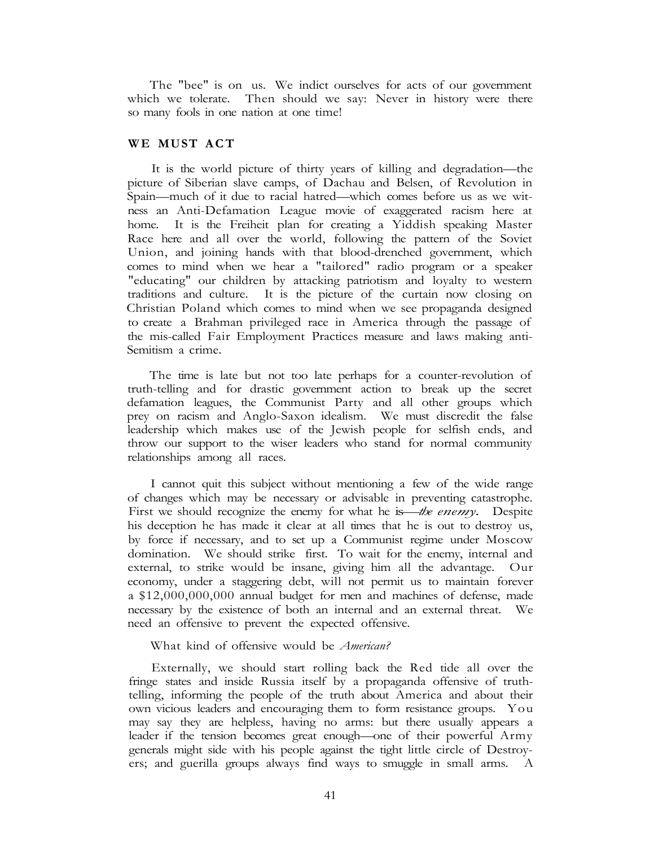The "bee" is on us. We indict ourselves for acts of our government which we tolerate. Then should we say: Never in history were there so many fools in one nation at one time!

#### **WE MUST ACT**

It is the world picture of thirty years of killing and degradation—the picture of Siberian slave camps, of Dachau and Belsen, of Revolution in Spain—much of it due to racial hatred—which comes before us as we witness an Anti-Defamation League movie of exaggerated racism here at home. It is the Freiheit plan for creating a Yiddish speaking Master Race here and all over the world, following the pattern of the Soviet Union, and joining hands with that blood-drenched government, which comes to mind when we hear a "tailored" radio program or a speaker "educating" our children by attacking patriotism and loyalty to western traditions and culture. It is the picture of the curtain now closing on Christian Poland which comes to mind when we see propaganda designed to create a Brahman privileged race in America through the passage of the mis-called Fair Employment Practices measure and laws making anti-Semitism a crime.

The time is late but not too late perhaps for a counter-revolution of truth-telling and for drastic government action to break up the secret defamation leagues, the Communist Party and all other groups which prey on racism and Anglo-Saxon idealism. We must discredit the false leadership which makes use of the Jewish people for selfish ends, and throw our support to the wiser leaders who stand for normal community relationships among all races.

I cannot quit this subject without mentioning a few of the wide range of changes which may be necessary or advisable in preventing catastrophe. First we should recognize the enemy for what he is—*the enemy*. Despite his deception he has made it clear at all times that he is out to destroy us, by force if necessary, and to set up a Communist regime under Moscow domination. We should strike first. To wait for the enemy, internal and external, to strike would be insane, giving him all the advantage. Our economy, under a staggering debt, will not permit us to maintain forever a \$12,000,000,000 annual budget for men and machines of defense, made necessary by the existence of both an internal and an external threat. We need an offensive to prevent the expected offensive.

What kind of offensive would be *American?* 

Externally, we should start rolling back the Red tide all over the fringe states and inside Russia itself by a propaganda offensive of truthtelling, informing the people of the truth about America and about their own vicious leaders and encouraging them to form resistance groups. You may say they are helpless, having no arms: but there usually appears a leader if the tension becomes great enough—one of their powerful Army generals might side with his people against the tight little circle of Destroyers; and guerilla groups always find ways to smuggle in small arms. A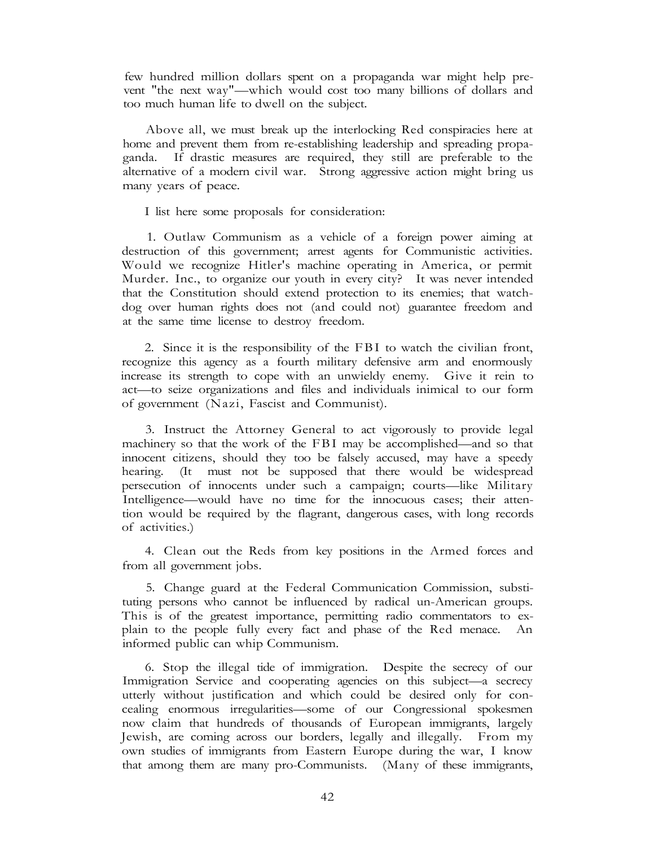few hundred million dollars spent on a propaganda war might help prevent "the next way"—which would cost too many billions of dollars and too much human life to dwell on the subject.

Above all, we must break up the interlocking Red conspiracies here at home and prevent them from re-establishing leadership and spreading propaganda. If drastic measures are required, they still are preferable to the alternative of a modern civil war. Strong aggressive action might bring us many years of peace.

I list here some proposals for consideration:

1. Outlaw Communism as a vehicle of a foreign power aiming at destruction of this government; arrest agents for Communistic activities. Would we recognize Hitler's machine operating in America, or permit Murder. Inc., to organize our youth in every city? It was never intended that the Constitution should extend protection to its enemies; that watchdog over human rights does not (and could not) guarantee freedom and at the same time license to destroy freedom.

2. Since it is the responsibility of the FBI to watch the civilian front, recognize this agency as a fourth military defensive arm and enormously increase its strength to cope with an unwieldy enemy. Give it rein to act—to seize organizations and files and individuals inimical to our form of government (Nazi, Fascist and Communist).

3. Instruct the Attorney General to act vigorously to provide legal machinery so that the work of the FBI may be accomplished—and so that innocent citizens, should they too be falsely accused, may have a speedy hearing. (It must not be supposed that there would be widespread persecution of innocents under such a campaign; courts—like Military Intelligence—would have no time for the innocuous cases; their attention would be required by the flagrant, dangerous cases, with long records of activities.)

4. Clean out the Reds from key positions in the Armed forces and from all government jobs.

5. Change guard at the Federal Communication Commission, substituting persons who cannot be influenced by radical un-American groups. This is of the greatest importance, permitting radio commentators to explain to the people fully every fact and phase of the Red menace. An informed public can whip Communism.

6. Stop the illegal tide of immigration. Despite the secrecy of our Immigration Service and cooperating agencies on this subject—a secrecy utterly without justification and which could be desired only for concealing enormous irregularities—some of our Congressional spokesmen now claim that hundreds of thousands of European immigrants, largely Jewish, are coming across our borders, legally and illegally. From my own studies of immigrants from Eastern Europe during the war, I know that among them are many pro-Communists. (Many of these immigrants,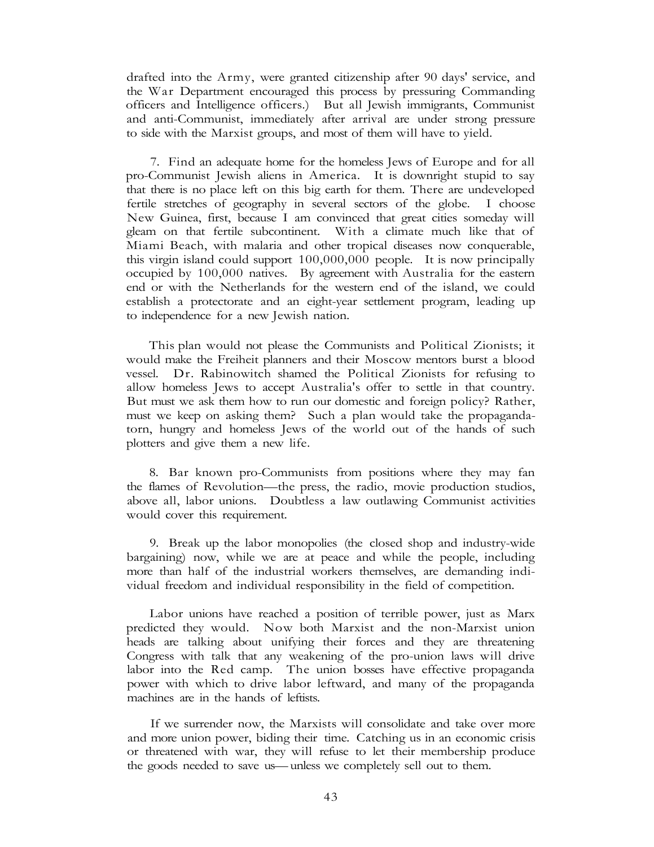drafted into the Army, were granted citizenship after 90 days' service, and the War Department encouraged this process by pressuring Commanding officers and Intelligence officers.) But all Jewish immigrants, Communist and anti-Communist, immediately after arrival are under strong pressure to side with the Marxist groups, and most of them will have to yield.

7. Find an adequate home for the homeless Jews of Europe and for all pro-Communist Jewish aliens in America. It is downright stupid to say that there is no place left on this big earth for them. There are undeveloped fertile stretches of geography in several sectors of the globe. I choose New Guinea, first, because I am convinced that great cities someday will gleam on that fertile subcontinent. With a climate much like that of Miami Beach, with malaria and other tropical diseases now conquerable, this virgin island could support 100,000,000 people. It is now principally occupied by 100,000 natives. By agreement with Australia for the eastern end or with the Netherlands for the western end of the island, we could establish a protectorate and an eight-year settlement program, leading up to independence for a new Jewish nation.

This plan would not please the Communists and Political Zionists; it would make the Freiheit planners and their Moscow mentors burst a blood vessel. Dr. Rabinowitch shamed the Political Zionists for refusing to allow homeless Jews to accept Australia's offer to settle in that country. But must we ask them how to run our domestic and foreign policy? Rather, must we keep on asking them? Such a plan would take the propagandatorn, hungry and homeless Jews of the world out of the hands of such plotters and give them a new life.

8. Bar known pro-Communists from positions where they may fan the flames of Revolution—the press, the radio, movie production studios, above all, labor unions. Doubtless a law outlawing Communist activities would cover this requirement.

9. Break up the labor monopolies (the closed shop and industry-wide bargaining) now, while we are at peace and while the people, including more than half of the industrial workers themselves, are demanding individual freedom and individual responsibility in the field of competition.

Labor unions have reached a position of terrible power, just as Marx predicted they would. Now both Marxist and the non-Marxist union heads are talking about unifying their forces and they are threatening Congress with talk that any weakening of the pro-union laws will drive labor into the Red camp. The union bosses have effective propaganda power with which to drive labor leftward, and many of the propaganda machines are in the hands of leftists.

If we surrender now, the Marxists will consolidate and take over more and more union power, biding their time. Catching us in an economic crisis or threatened with war, they will refuse to let their membership produce the goods needed to save us— unless we completely sell out to them.